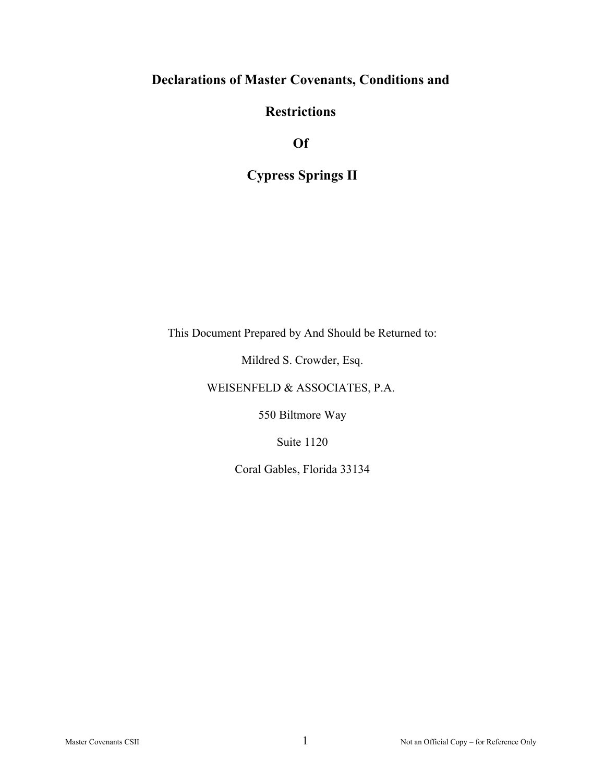# **Declarations of Master Covenants, Conditions and**

# **Restrictions**

**Of** 

# **Cypress Springs II**

This Document Prepared by And Should be Returned to:

Mildred S. Crowder, Esq.

# WEISENFELD & ASSOCIATES, P.A.

550 Biltmore Way

Suite 1120

Coral Gables, Florida 33134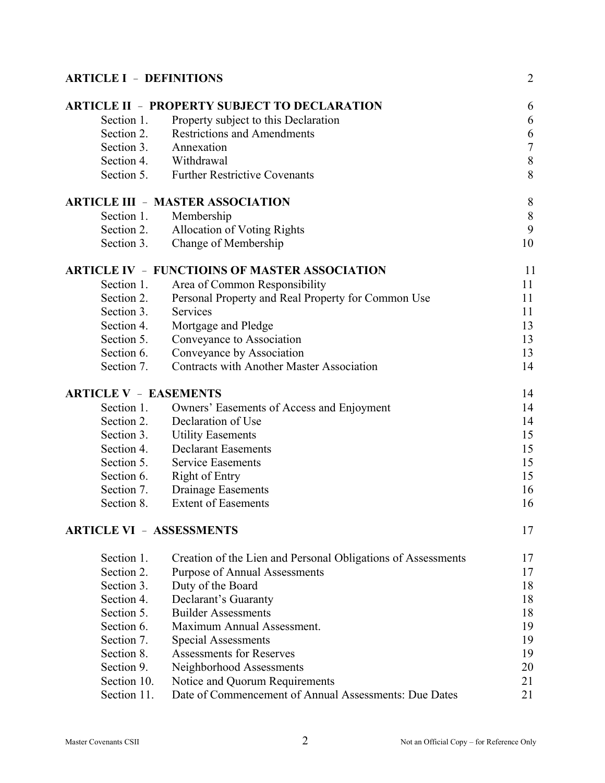| <b>ARTICLE I - DEFINITIONS</b>  |                                                              |                |
|---------------------------------|--------------------------------------------------------------|----------------|
|                                 | <b>ARTICLE II - PROPERTY SUBJECT TO DECLARATION</b>          | 6              |
| Section 1.                      | Property subject to this Declaration                         | 6              |
| Section 2.                      | <b>Restrictions and Amendments</b>                           | 6              |
| Section 3.                      | Annexation                                                   | $\overline{7}$ |
| Section 4.                      | Withdrawal                                                   | 8              |
| Section 5.                      | <b>Further Restrictive Covenants</b>                         | 8              |
|                                 | <b>ARTICLE III - MASTER ASSOCIATION</b>                      | 8              |
| Section 1.                      | Membership                                                   | $8\,$          |
| Section 2.                      | <b>Allocation of Voting Rights</b>                           | 9              |
| Section 3.                      | Change of Membership                                         | 10             |
|                                 | <b>ARTICLE IV - FUNCTIOINS OF MASTER ASSOCIATION</b>         | 11             |
| Section 1.                      | Area of Common Responsibility                                | 11             |
| Section 2.                      | Personal Property and Real Property for Common Use           | 11             |
| Section 3.                      | Services                                                     | 11             |
| Section 4.                      | Mortgage and Pledge                                          | 13             |
| Section 5.                      | Conveyance to Association                                    | 13             |
| Section 6.                      | Conveyance by Association                                    | 13             |
| Section 7.                      | <b>Contracts with Another Master Association</b>             | 14             |
| <b>ARTICLE V - EASEMENTS</b>    |                                                              | 14             |
| Section 1.                      | Owners' Easements of Access and Enjoyment                    | 14             |
| Section 2.                      | Declaration of Use                                           | 14             |
| Section 3.                      | <b>Utility Easements</b>                                     | 15             |
| Section 4.                      | <b>Declarant Easements</b>                                   | 15             |
| Section 5.                      | <b>Service Easements</b>                                     | 15             |
| Section 6.                      | <b>Right of Entry</b>                                        | 15             |
| Section 7.                      | <b>Drainage Easements</b>                                    | 16             |
| Section 8.                      | <b>Extent of Easements</b>                                   | 16             |
| <b>ARTICLE VI - ASSESSMENTS</b> |                                                              |                |
| Section 1.                      | Creation of the Lien and Personal Obligations of Assessments | 17             |
| Section 2.                      | <b>Purpose of Annual Assessments</b>                         | 17             |
| Section 3.                      | Duty of the Board                                            | 18             |
| Section 4.                      | Declarant's Guaranty                                         | 18             |
| Section 5.                      | <b>Builder Assessments</b>                                   | 18             |
| Section 6.                      | Maximum Annual Assessment.                                   | 19             |
| Section 7.                      | <b>Special Assessments</b>                                   | 19             |
| Section 8.                      | <b>Assessments for Reserves</b>                              | 19             |
| Section 9.                      | Neighborhood Assessments                                     | 20             |
| Section 10.                     | Notice and Quorum Requirements                               | 21             |
| Section 11.                     | Date of Commencement of Annual Assessments: Due Dates        | 21             |
|                                 |                                                              |                |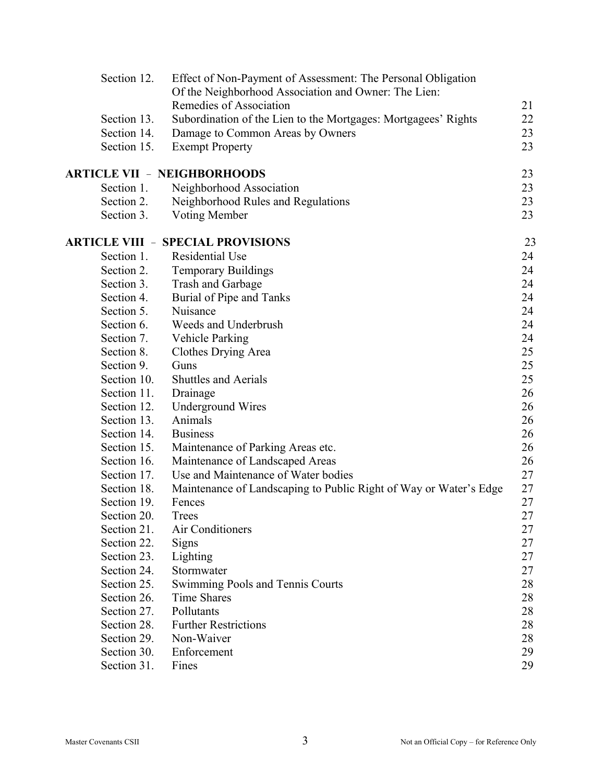| Section 12. | Effect of Non-Payment of Assessment: The Personal Obligation<br>Of the Neighborhood Association and Owner: The Lien: |        |
|-------------|----------------------------------------------------------------------------------------------------------------------|--------|
|             | Remedies of Association                                                                                              | 21     |
| Section 13. | Subordination of the Lien to the Mortgages: Mortgagees' Rights                                                       | 22     |
| Section 14. | Damage to Common Areas by Owners                                                                                     | 23     |
| Section 15. | <b>Exempt Property</b>                                                                                               | 23     |
|             | <b>ARTICLE VII - NEIGHBORHOODS</b>                                                                                   | 23     |
| Section 1.  | Neighborhood Association                                                                                             | 23     |
| Section 2.  | Neighborhood Rules and Regulations                                                                                   | 23     |
| Section 3.  | Voting Member                                                                                                        | 23     |
|             | <b>ARTICLE VIII - SPECIAL PROVISIONS</b>                                                                             | 23     |
| Section 1.  | <b>Residential Use</b>                                                                                               | 24     |
| Section 2.  | <b>Temporary Buildings</b>                                                                                           | 24     |
| Section 3.  | Trash and Garbage                                                                                                    | 24     |
| Section 4.  | Burial of Pipe and Tanks                                                                                             | 24     |
| Section 5.  | Nuisance                                                                                                             | 24     |
| Section 6.  | Weeds and Underbrush                                                                                                 | 24     |
| Section 7.  | Vehicle Parking                                                                                                      | 24     |
| Section 8.  | Clothes Drying Area                                                                                                  | 25     |
| Section 9.  | Guns                                                                                                                 | 25     |
| Section 10. | <b>Shuttles and Aerials</b>                                                                                          | 25     |
| Section 11. | Drainage                                                                                                             | 26     |
| Section 12. | <b>Underground Wires</b>                                                                                             | 26     |
| Section 13. | Animals                                                                                                              | 26     |
| Section 14. | <b>Business</b>                                                                                                      | 26     |
| Section 15. | Maintenance of Parking Areas etc.                                                                                    | 26     |
| Section 16. | Maintenance of Landscaped Areas                                                                                      | 26     |
| Section 17. | Use and Maintenance of Water bodies                                                                                  | 27     |
| Section 18. | Maintenance of Landscaping to Public Right of Way or Water's Edge                                                    | 27     |
| Section 19. | Fences                                                                                                               | 27     |
| Section 20. | <b>Trees</b>                                                                                                         | 27     |
| Section 21. | Air Conditioners                                                                                                     | 27     |
| Section 22. | Signs                                                                                                                | 27     |
| Section 23. | Lighting                                                                                                             | 27     |
| Section 24. | Stormwater                                                                                                           | 27     |
| Section 25. | Swimming Pools and Tennis Courts                                                                                     | 28     |
| Section 26. | Time Shares                                                                                                          | 28     |
| Section 27. | Pollutants                                                                                                           | $28\,$ |
| Section 28. | <b>Further Restrictions</b>                                                                                          | 28     |
| Section 29. | Non-Waiver                                                                                                           | 28     |
| Section 30. | Enforcement                                                                                                          | 29     |
| Section 31. | Fines                                                                                                                | 29     |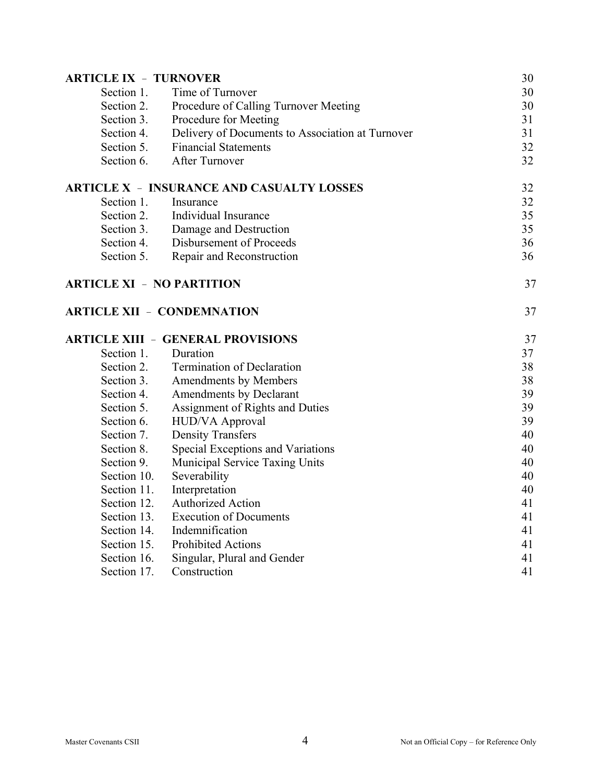| <b>ARTICLE IX - TURNOVER</b>     |                                                  | 30 |
|----------------------------------|--------------------------------------------------|----|
| Section 1.                       | Time of Turnover                                 | 30 |
| Section 2.                       | Procedure of Calling Turnover Meeting            | 30 |
| Section 3.                       | Procedure for Meeting                            | 31 |
| Section 4.                       | Delivery of Documents to Association at Turnover | 31 |
| Section 5.                       | <b>Financial Statements</b>                      | 32 |
| Section 6.                       | After Turnover                                   | 32 |
|                                  | <b>ARTICLE X - INSURANCE AND CASUALTY LOSSES</b> | 32 |
| Section 1.                       | Insurance                                        | 32 |
| Section 2.                       | Individual Insurance                             | 35 |
| Section 3.                       | Damage and Destruction                           | 35 |
| Section 4.                       | Disbursement of Proceeds                         | 36 |
| Section 5.                       | Repair and Reconstruction                        | 36 |
| <b>ARTICLE XI - NO PARTITION</b> |                                                  | 37 |
|                                  | <b>ARTICLE XII - CONDEMNATION</b>                | 37 |
|                                  | <b>ARTICLE XIII - GENERAL PROVISIONS</b>         | 37 |
| Section 1.                       | Duration                                         | 37 |
| Section 2.                       | <b>Termination of Declaration</b>                | 38 |
| Section 3.                       | Amendments by Members                            | 38 |
| Section 4.                       | Amendments by Declarant                          | 39 |
| Section 5.                       | Assignment of Rights and Duties                  | 39 |
| Section 6.                       | HUD/VA Approval                                  | 39 |
| Section 7.                       | <b>Density Transfers</b>                         | 40 |
| Section 8.                       | Special Exceptions and Variations                | 40 |
| Section 9.                       | Municipal Service Taxing Units                   | 40 |
| Section 10.                      | Severability                                     | 40 |
| Section 11.                      | Interpretation                                   | 40 |
| Section 12.                      | <b>Authorized Action</b>                         | 41 |
| Section 13.                      | <b>Execution of Documents</b>                    | 41 |
| Section 14.                      | Indemnification                                  | 41 |
| Section 15.                      | <b>Prohibited Actions</b>                        | 41 |
| Section 16.                      | Singular, Plural and Gender                      | 41 |
| Section 17.                      | Construction                                     | 41 |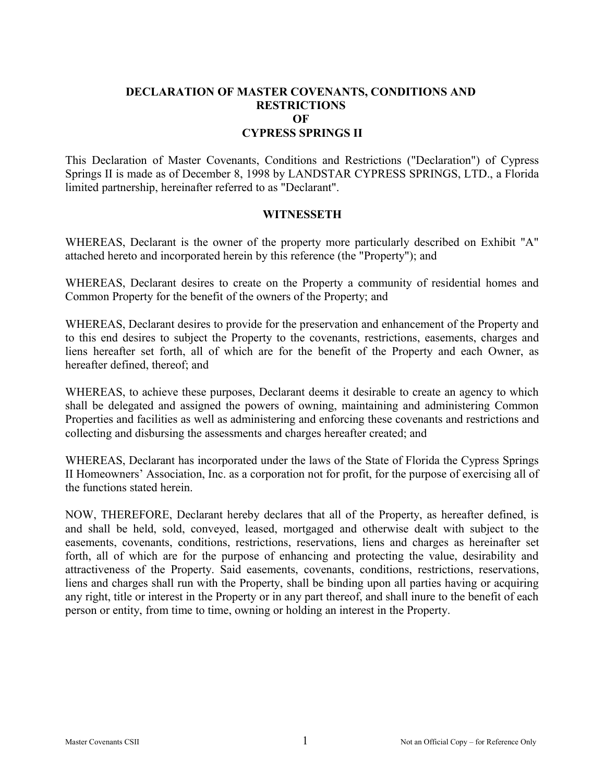#### **DECLARATION OF MASTER COVENANTS, CONDITIONS AND RESTRICTIONS OF CYPRESS SPRINGS II**

This Declaration of Master Covenants, Conditions and Restrictions ("Declaration") of Cypress Springs II is made as of December 8, 1998 by LANDSTAR CYPRESS SPRINGS, LTD., a Florida limited partnership, hereinafter referred to as "Declarant".

#### **WITNESSETH**

WHEREAS, Declarant is the owner of the property more particularly described on Exhibit "A" attached hereto and incorporated herein by this reference (the "Property"); and

WHEREAS, Declarant desires to create on the Property a community of residential homes and Common Property for the benefit of the owners of the Property; and

WHEREAS, Declarant desires to provide for the preservation and enhancement of the Property and to this end desires to subject the Property to the covenants, restrictions, easements, charges and liens hereafter set forth, all of which are for the benefit of the Property and each Owner, as hereafter defined, thereof; and

WHEREAS, to achieve these purposes, Declarant deems it desirable to create an agency to which shall be delegated and assigned the powers of owning, maintaining and administering Common Properties and facilities as well as administering and enforcing these covenants and restrictions and collecting and disbursing the assessments and charges hereafter created; and

WHEREAS, Declarant has incorporated under the laws of the State of Florida the Cypress Springs II Homeowners' Association, Inc. as a corporation not for profit, for the purpose of exercising all of the functions stated herein.

NOW, THEREFORE, Declarant hereby declares that all of the Property, as hereafter defined, is and shall be held, sold, conveyed, leased, mortgaged and otherwise dealt with subject to the easements, covenants, conditions, restrictions, reservations, liens and charges as hereinafter set forth, all of which are for the purpose of enhancing and protecting the value, desirability and attractiveness of the Property. Said easements, covenants, conditions, restrictions, reservations, liens and charges shall run with the Property, shall be binding upon all parties having or acquiring any right, title or interest in the Property or in any part thereof, and shall inure to the benefit of each person or entity, from time to time, owning or holding an interest in the Property.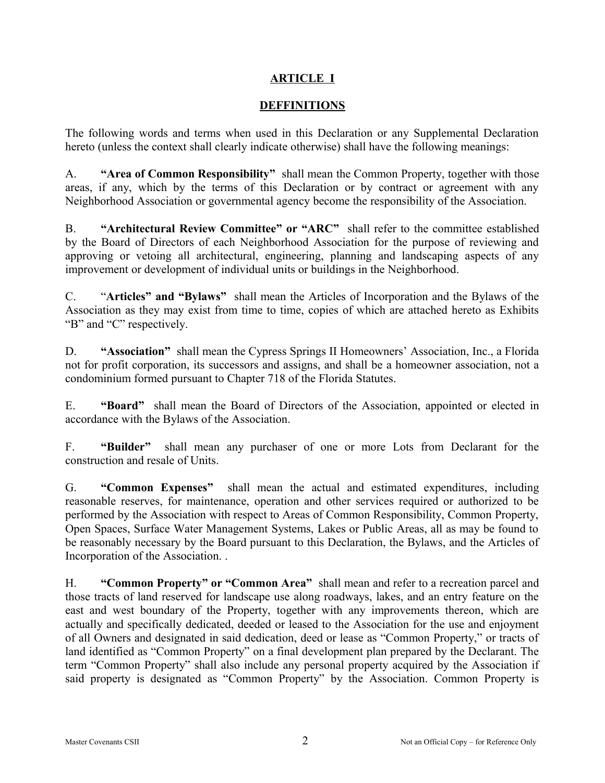## **ARTICLE I**

#### **DEFFINITIONS**

The following words and terms when used in this Declaration or any Supplemental Declaration hereto (unless the context shall clearly indicate otherwise) shall have the following meanings:

A. **"Area of Common Responsibility"** shall mean the Common Property, together with those areas, if any, which by the terms of this Declaration or by contract or agreement with any Neighborhood Association or governmental agency become the responsibility of the Association.

B. **"Architectural Review Committee" or "ARC"** shall refer to the committee established by the Board of Directors of each Neighborhood Association for the purpose of reviewing and approving or vetoing all architectural, engineering, planning and landscaping aspects of any improvement or development of individual units or buildings in the Neighborhood.

C. "**Articles" and "Bylaws"** shall mean the Articles of Incorporation and the Bylaws of the Association as they may exist from time to time, copies of which are attached hereto as Exhibits "B" and "C" respectively.

D. **"Association"** shall mean the Cypress Springs II Homeowners' Association, Inc., a Florida not for profit corporation, its successors and assigns, and shall be a homeowner association, not a condominium formed pursuant to Chapter 718 of the Florida Statutes.

E. **"Board"** shall mean the Board of Directors of the Association, appointed or elected in accordance with the Bylaws of the Association.

F. **"Builder"** shall mean any purchaser of one or more Lots from Declarant for the construction and resale of Units.

G. **"Common Expenses"** shall mean the actual and estimated expenditures, including reasonable reserves, for maintenance, operation and other services required or authorized to be performed by the Association with respect to Areas of Common Responsibility, Common Property, Open Spaces, Surface Water Management Systems, Lakes or Public Areas, all as may be found to be reasonably necessary by the Board pursuant to this Declaration, the Bylaws, and the Articles of Incorporation of the Association. .

H. **"Common Property" or "Common Area"** shall mean and refer to a recreation parcel and those tracts of land reserved for landscape use along roadways, lakes, and an entry feature on the east and west boundary of the Property, together with any improvements thereon, which are actually and specifically dedicated, deeded or leased to the Association for the use and enjoyment of all Owners and designated in said dedication, deed or lease as "Common Property," or tracts of land identified as "Common Property" on a final development plan prepared by the Declarant. The term "Common Property" shall also include any personal property acquired by the Association if said property is designated as "Common Property" by the Association. Common Property is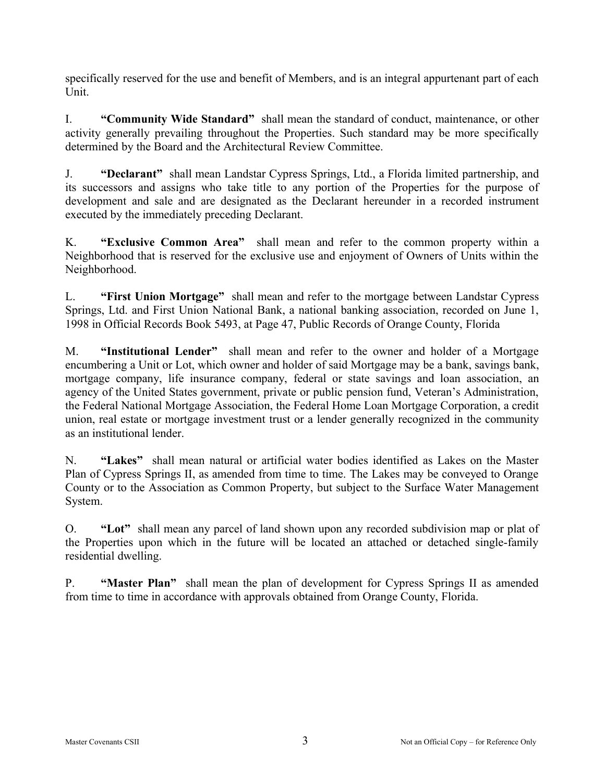specifically reserved for the use and benefit of Members, and is an integral appurtenant part of each Unit.

I. **"Community Wide Standard"** shall mean the standard of conduct, maintenance, or other activity generally prevailing throughout the Properties. Such standard may be more specifically determined by the Board and the Architectural Review Committee.

J. **"Declarant"** shall mean Landstar Cypress Springs, Ltd., a Florida limited partnership, and its successors and assigns who take title to any portion of the Properties for the purpose of development and sale and are designated as the Declarant hereunder in a recorded instrument executed by the immediately preceding Declarant.

K. **"Exclusive Common Area"** shall mean and refer to the common property within a Neighborhood that is reserved for the exclusive use and enjoyment of Owners of Units within the Neighborhood.

L. **"First Union Mortgage"** shall mean and refer to the mortgage between Landstar Cypress Springs, Ltd. and First Union National Bank, a national banking association, recorded on June 1, 1998 in Official Records Book 5493, at Page 47, Public Records of Orange County, Florida

M. **"Institutional Lender"** shall mean and refer to the owner and holder of a Mortgage encumbering a Unit or Lot, which owner and holder of said Mortgage may be a bank, savings bank, mortgage company, life insurance company, federal or state savings and loan association, an agency of the United States government, private or public pension fund, Veteran's Administration, the Federal National Mortgage Association, the Federal Home Loan Mortgage Corporation, a credit union, real estate or mortgage investment trust or a lender generally recognized in the community as an institutional lender.

N. **"Lakes"** shall mean natural or artificial water bodies identified as Lakes on the Master Plan of Cypress Springs II, as amended from time to time. The Lakes may be conveyed to Orange County or to the Association as Common Property, but subject to the Surface Water Management System.

O. **"Lot"** shall mean any parcel of land shown upon any recorded subdivision map or plat of the Properties upon which in the future will be located an attached or detached single-family residential dwelling.

P. **"Master Plan"** shall mean the plan of development for Cypress Springs II as amended from time to time in accordance with approvals obtained from Orange County, Florida.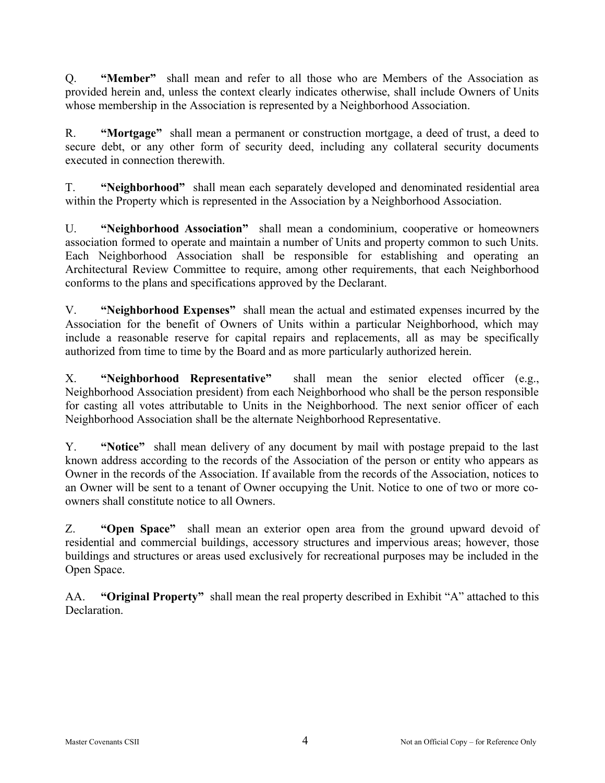Q. **"Member"** shall mean and refer to all those who are Members of the Association as provided herein and, unless the context clearly indicates otherwise, shall include Owners of Units whose membership in the Association is represented by a Neighborhood Association.

R. **"Mortgage"** shall mean a permanent or construction mortgage, a deed of trust, a deed to secure debt, or any other form of security deed, including any collateral security documents executed in connection therewith.

T. **"Neighborhood"** shall mean each separately developed and denominated residential area within the Property which is represented in the Association by a Neighborhood Association.

U. **"Neighborhood Association"** shall mean a condominium, cooperative or homeowners association formed to operate and maintain a number of Units and property common to such Units. Each Neighborhood Association shall be responsible for establishing and operating an Architectural Review Committee to require, among other requirements, that each Neighborhood conforms to the plans and specifications approved by the Declarant.

V. **"Neighborhood Expenses"** shall mean the actual and estimated expenses incurred by the Association for the benefit of Owners of Units within a particular Neighborhood, which may include a reasonable reserve for capital repairs and replacements, all as may be specifically authorized from time to time by the Board and as more particularly authorized herein.

X. **"Neighborhood Representative"** shall mean the senior elected officer (e.g., Neighborhood Association president) from each Neighborhood who shall be the person responsible for casting all votes attributable to Units in the Neighborhood. The next senior officer of each Neighborhood Association shall be the alternate Neighborhood Representative.

Y. **"Notice"** shall mean delivery of any document by mail with postage prepaid to the last known address according to the records of the Association of the person or entity who appears as Owner in the records of the Association. If available from the records of the Association, notices to an Owner will be sent to a tenant of Owner occupying the Unit. Notice to one of two or more coowners shall constitute notice to all Owners.

Z. **"Open Space"** shall mean an exterior open area from the ground upward devoid of residential and commercial buildings, accessory structures and impervious areas; however, those buildings and structures or areas used exclusively for recreational purposes may be included in the Open Space.

AA. **"Original Property"** shall mean the real property described in Exhibit "A" attached to this Declaration.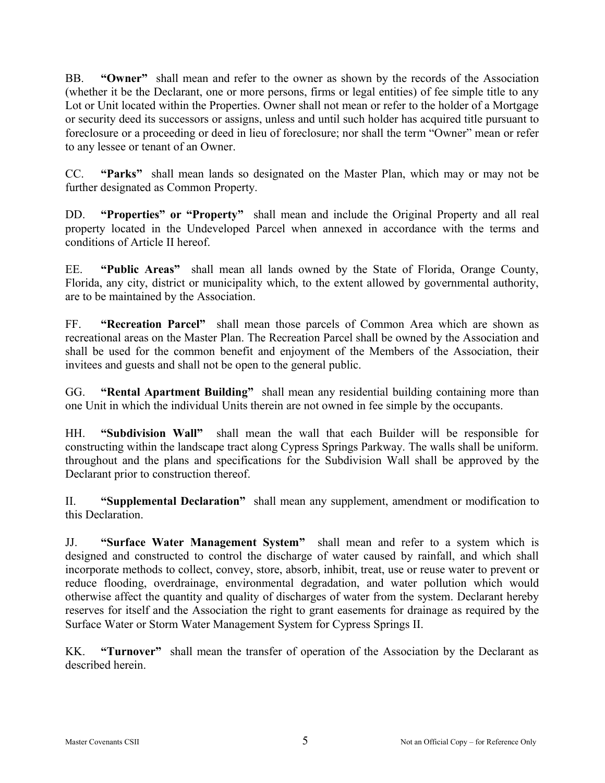BB. **"Owner"** shall mean and refer to the owner as shown by the records of the Association (whether it be the Declarant, one or more persons, firms or legal entities) of fee simple title to any Lot or Unit located within the Properties. Owner shall not mean or refer to the holder of a Mortgage or security deed its successors or assigns, unless and until such holder has acquired title pursuant to foreclosure or a proceeding or deed in lieu of foreclosure; nor shall the term "Owner" mean or refer to any lessee or tenant of an Owner.

CC. **"Parks"** shall mean lands so designated on the Master Plan, which may or may not be further designated as Common Property.

DD. **"Properties" or "Property"** shall mean and include the Original Property and all real property located in the Undeveloped Parcel when annexed in accordance with the terms and conditions of Article II hereof.

EE. **"Public Areas"** shall mean all lands owned by the State of Florida, Orange County, Florida, any city, district or municipality which, to the extent allowed by governmental authority, are to be maintained by the Association.

FF. **"Recreation Parcel"** shall mean those parcels of Common Area which are shown as recreational areas on the Master Plan. The Recreation Parcel shall be owned by the Association and shall be used for the common benefit and enjoyment of the Members of the Association, their invitees and guests and shall not be open to the general public.

GG. **"Rental Apartment Building"** shall mean any residential building containing more than one Unit in which the individual Units therein are not owned in fee simple by the occupants.

HH. **"Subdivision Wall"** shall mean the wall that each Builder will be responsible for constructing within the landscape tract along Cypress Springs Parkway. The walls shall be uniform. throughout and the plans and specifications for the Subdivision Wall shall be approved by the Declarant prior to construction thereof.

II. **"Supplemental Declaration"** shall mean any supplement, amendment or modification to this Declaration.

JJ. **"Surface Water Management System"** shall mean and refer to a system which is designed and constructed to control the discharge of water caused by rainfall, and which shall incorporate methods to collect, convey, store, absorb, inhibit, treat, use or reuse water to prevent or reduce flooding, overdrainage, environmental degradation, and water pollution which would otherwise affect the quantity and quality of discharges of water from the system. Declarant hereby reserves for itself and the Association the right to grant easements for drainage as required by the Surface Water or Storm Water Management System for Cypress Springs II.

KK. **"Turnover"** shall mean the transfer of operation of the Association by the Declarant as described herein.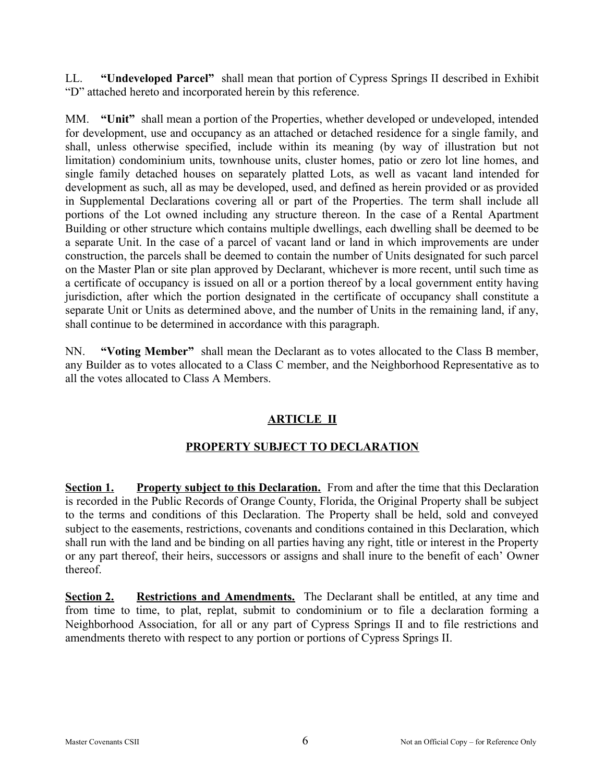LL. **"Undeveloped Parcel"** shall mean that portion of Cypress Springs II described in Exhibit "D" attached hereto and incorporated herein by this reference.

MM. **"Unit"** shall mean a portion of the Properties, whether developed or undeveloped, intended for development, use and occupancy as an attached or detached residence for a single family, and shall, unless otherwise specified, include within its meaning (by way of illustration but not limitation) condominium units, townhouse units, cluster homes, patio or zero lot line homes, and single family detached houses on separately platted Lots, as well as vacant land intended for development as such, all as may be developed, used, and defined as herein provided or as provided in Supplemental Declarations covering all or part of the Properties. The term shall include all portions of the Lot owned including any structure thereon. In the case of a Rental Apartment Building or other structure which contains multiple dwellings, each dwelling shall be deemed to be a separate Unit. In the case of a parcel of vacant land or land in which improvements are under construction, the parcels shall be deemed to contain the number of Units designated for such parcel on the Master Plan or site plan approved by Declarant, whichever is more recent, until such time as a certificate of occupancy is issued on all or a portion thereof by a local government entity having jurisdiction, after which the portion designated in the certificate of occupancy shall constitute a separate Unit or Units as determined above, and the number of Units in the remaining land, if any, shall continue to be determined in accordance with this paragraph.

NN. **"Voting Member"** shall mean the Declarant as to votes allocated to the Class B member, any Builder as to votes allocated to a Class C member, and the Neighborhood Representative as to all the votes allocated to Class A Members.

# **ARTICLE II**

### **PROPERTY SUBJECT TO DECLARATION**

**Section 1. Property subject to this Declaration.** From and after the time that this Declaration is recorded in the Public Records of Orange County, Florida, the Original Property shall be subject to the terms and conditions of this Declaration. The Property shall be held, sold and conveyed subject to the easements, restrictions, covenants and conditions contained in this Declaration, which shall run with the land and be binding on all parties having any right, title or interest in the Property or any part thereof, their heirs, successors or assigns and shall inure to the benefit of each' Owner thereof.

**Section 2. Restrictions and Amendments.** The Declarant shall be entitled, at any time and from time to time, to plat, replat, submit to condominium or to file a declaration forming a Neighborhood Association, for all or any part of Cypress Springs II and to file restrictions and amendments thereto with respect to any portion or portions of Cypress Springs II.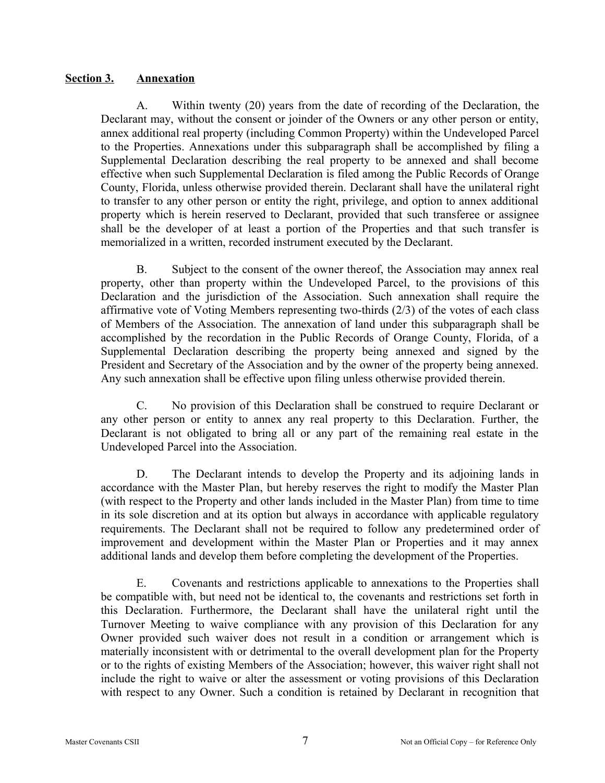#### **Section 3. Annexation**

A. Within twenty (20) years from the date of recording of the Declaration, the Declarant may, without the consent or joinder of the Owners or any other person or entity, annex additional real property (including Common Property) within the Undeveloped Parcel to the Properties. Annexations under this subparagraph shall be accomplished by filing a Supplemental Declaration describing the real property to be annexed and shall become effective when such Supplemental Declaration is filed among the Public Records of Orange County, Florida, unless otherwise provided therein. Declarant shall have the unilateral right to transfer to any other person or entity the right, privilege, and option to annex additional property which is herein reserved to Declarant, provided that such transferee or assignee shall be the developer of at least a portion of the Properties and that such transfer is memorialized in a written, recorded instrument executed by the Declarant.

B. Subject to the consent of the owner thereof, the Association may annex real property, other than property within the Undeveloped Parcel, to the provisions of this Declaration and the jurisdiction of the Association. Such annexation shall require the affirmative vote of Voting Members representing two-thirds (2/3) of the votes of each class of Members of the Association. The annexation of land under this subparagraph shall be accomplished by the recordation in the Public Records of Orange County, Florida, of a Supplemental Declaration describing the property being annexed and signed by the President and Secretary of the Association and by the owner of the property being annexed. Any such annexation shall be effective upon filing unless otherwise provided therein.

C. No provision of this Declaration shall be construed to require Declarant or any other person or entity to annex any real property to this Declaration. Further, the Declarant is not obligated to bring all or any part of the remaining real estate in the Undeveloped Parcel into the Association.

D. The Declarant intends to develop the Property and its adjoining lands in accordance with the Master Plan, but hereby reserves the right to modify the Master Plan (with respect to the Property and other lands included in the Master Plan) from time to time in its sole discretion and at its option but always in accordance with applicable regulatory requirements. The Declarant shall not be required to follow any predetermined order of improvement and development within the Master Plan or Properties and it may annex additional lands and develop them before completing the development of the Properties.

E. Covenants and restrictions applicable to annexations to the Properties shall be compatible with, but need not be identical to, the covenants and restrictions set forth in this Declaration. Furthermore, the Declarant shall have the unilateral right until the Turnover Meeting to waive compliance with any provision of this Declaration for any Owner provided such waiver does not result in a condition or arrangement which is materially inconsistent with or detrimental to the overall development plan for the Property or to the rights of existing Members of the Association; however, this waiver right shall not include the right to waive or alter the assessment or voting provisions of this Declaration with respect to any Owner. Such a condition is retained by Declarant in recognition that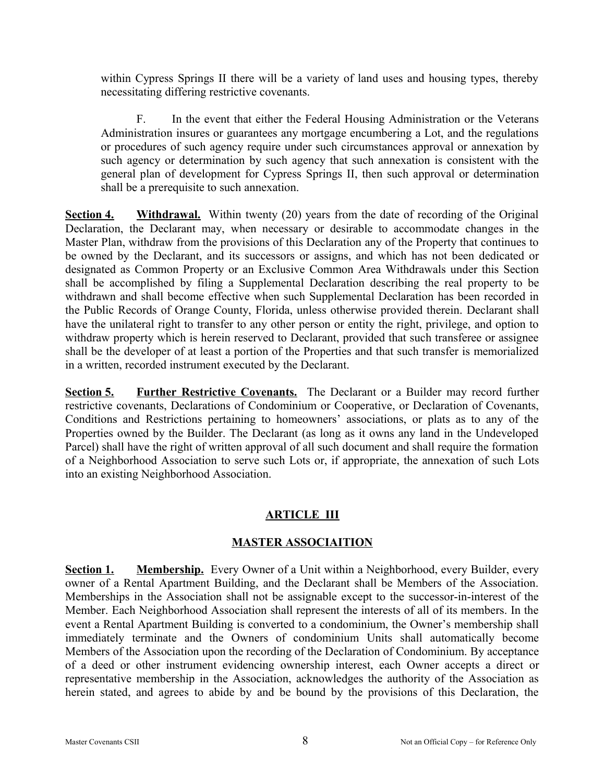within Cypress Springs II there will be a variety of land uses and housing types, thereby necessitating differing restrictive covenants.

F. In the event that either the Federal Housing Administration or the Veterans Administration insures or guarantees any mortgage encumbering a Lot, and the regulations or procedures of such agency require under such circumstances approval or annexation by such agency or determination by such agency that such annexation is consistent with the general plan of development for Cypress Springs II, then such approval or determination shall be a prerequisite to such annexation.

**Section 4. Withdrawal.** Within twenty (20) years from the date of recording of the Original Declaration, the Declarant may, when necessary or desirable to accommodate changes in the Master Plan, withdraw from the provisions of this Declaration any of the Property that continues to be owned by the Declarant, and its successors or assigns, and which has not been dedicated or designated as Common Property or an Exclusive Common Area Withdrawals under this Section shall be accomplished by filing a Supplemental Declaration describing the real property to be withdrawn and shall become effective when such Supplemental Declaration has been recorded in the Public Records of Orange County, Florida, unless otherwise provided therein. Declarant shall have the unilateral right to transfer to any other person or entity the right, privilege, and option to withdraw property which is herein reserved to Declarant, provided that such transferee or assignee shall be the developer of at least a portion of the Properties and that such transfer is memorialized in a written, recorded instrument executed by the Declarant.

**Section 5. Further Restrictive Covenants.** The Declarant or a Builder may record further restrictive covenants, Declarations of Condominium or Cooperative, or Declaration of Covenants, Conditions and Restrictions pertaining to homeowners' associations, or plats as to any of the Properties owned by the Builder. The Declarant (as long as it owns any land in the Undeveloped Parcel) shall have the right of written approval of all such document and shall require the formation of a Neighborhood Association to serve such Lots or, if appropriate, the annexation of such Lots into an existing Neighborhood Association.

### **ARTICLE III**

### **MASTER ASSOCIAITION**

**Section 1. Membership.** Every Owner of a Unit within a Neighborhood, every Builder, every owner of a Rental Apartment Building, and the Declarant shall be Members of the Association. Memberships in the Association shall not be assignable except to the successor-in-interest of the Member. Each Neighborhood Association shall represent the interests of all of its members. In the event a Rental Apartment Building is converted to a condominium, the Owner's membership shall immediately terminate and the Owners of condominium Units shall automatically become Members of the Association upon the recording of the Declaration of Condominium. By acceptance of a deed or other instrument evidencing ownership interest, each Owner accepts a direct or representative membership in the Association, acknowledges the authority of the Association as herein stated, and agrees to abide by and be bound by the provisions of this Declaration, the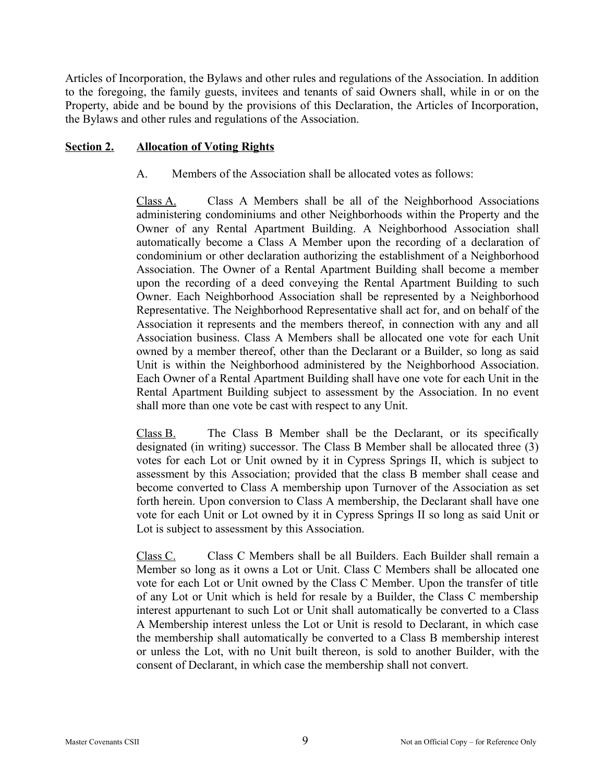Articles of Incorporation, the Bylaws and other rules and regulations of the Association. In addition to the foregoing, the family guests, invitees and tenants of said Owners shall, while in or on the Property, abide and be bound by the provisions of this Declaration, the Articles of Incorporation, the Bylaws and other rules and regulations of the Association.

#### **Section 2. Allocation of Voting Rights**

A. Members of the Association shall be allocated votes as follows:

Class A. Class A Members shall be all of the Neighborhood Associations administering condominiums and other Neighborhoods within the Property and the Owner of any Rental Apartment Building. A Neighborhood Association shall automatically become a Class A Member upon the recording of a declaration of condominium or other declaration authorizing the establishment of a Neighborhood Association. The Owner of a Rental Apartment Building shall become a member upon the recording of a deed conveying the Rental Apartment Building to such Owner. Each Neighborhood Association shall be represented by a Neighborhood Representative. The Neighborhood Representative shall act for, and on behalf of the Association it represents and the members thereof, in connection with any and all Association business. Class A Members shall be allocated one vote for each Unit owned by a member thereof, other than the Declarant or a Builder, so long as said Unit is within the Neighborhood administered by the Neighborhood Association. Each Owner of a Rental Apartment Building shall have one vote for each Unit in the Rental Apartment Building subject to assessment by the Association. In no event shall more than one vote be cast with respect to any Unit.

Class B. The Class B Member shall be the Declarant, or its specifically designated (in writing) successor. The Class B Member shall be allocated three (3) votes for each Lot or Unit owned by it in Cypress Springs II, which is subject to assessment by this Association; provided that the class B member shall cease and become converted to Class A membership upon Turnover of the Association as set forth herein. Upon conversion to Class A membership, the Declarant shall have one vote for each Unit or Lot owned by it in Cypress Springs II so long as said Unit or Lot is subject to assessment by this Association.

Class C. Class C Members shall be all Builders. Each Builder shall remain a Member so long as it owns a Lot or Unit. Class C Members shall be allocated one vote for each Lot or Unit owned by the Class C Member. Upon the transfer of title of any Lot or Unit which is held for resale by a Builder, the Class C membership interest appurtenant to such Lot or Unit shall automatically be converted to a Class A Membership interest unless the Lot or Unit is resold to Declarant, in which case the membership shall automatically be converted to a Class B membership interest or unless the Lot, with no Unit built thereon, is sold to another Builder, with the consent of Declarant, in which case the membership shall not convert.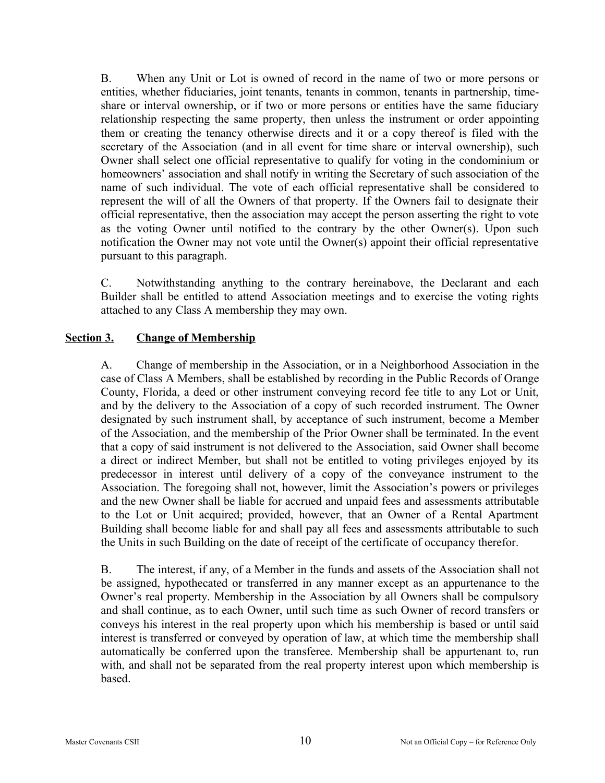B. When any Unit or Lot is owned of record in the name of two or more persons or entities, whether fiduciaries, joint tenants, tenants in common, tenants in partnership, timeshare or interval ownership, or if two or more persons or entities have the same fiduciary relationship respecting the same property, then unless the instrument or order appointing them or creating the tenancy otherwise directs and it or a copy thereof is filed with the secretary of the Association (and in all event for time share or interval ownership), such Owner shall select one official representative to qualify for voting in the condominium or homeowners' association and shall notify in writing the Secretary of such association of the name of such individual. The vote of each official representative shall be considered to represent the will of all the Owners of that property. If the Owners fail to designate their official representative, then the association may accept the person asserting the right to vote as the voting Owner until notified to the contrary by the other Owner(s). Upon such notification the Owner may not vote until the Owner(s) appoint their official representative pursuant to this paragraph.

C. Notwithstanding anything to the contrary hereinabove, the Declarant and each Builder shall be entitled to attend Association meetings and to exercise the voting rights attached to any Class A membership they may own.

#### **Section 3. Change of Membership**

A. Change of membership in the Association, or in a Neighborhood Association in the case of Class A Members, shall be established by recording in the Public Records of Orange County, Florida, a deed or other instrument conveying record fee title to any Lot or Unit, and by the delivery to the Association of a copy of such recorded instrument. The Owner designated by such instrument shall, by acceptance of such instrument, become a Member of the Association, and the membership of the Prior Owner shall be terminated. In the event that a copy of said instrument is not delivered to the Association, said Owner shall become a direct or indirect Member, but shall not be entitled to voting privileges enjoyed by its predecessor in interest until delivery of a copy of the conveyance instrument to the Association. The foregoing shall not, however, limit the Association's powers or privileges and the new Owner shall be liable for accrued and unpaid fees and assessments attributable to the Lot or Unit acquired; provided, however, that an Owner of a Rental Apartment Building shall become liable for and shall pay all fees and assessments attributable to such the Units in such Building on the date of receipt of the certificate of occupancy therefor.

B. The interest, if any, of a Member in the funds and assets of the Association shall not be assigned, hypothecated or transferred in any manner except as an appurtenance to the Owner's real property. Membership in the Association by all Owners shall be compulsory and shall continue, as to each Owner, until such time as such Owner of record transfers or conveys his interest in the real property upon which his membership is based or until said interest is transferred or conveyed by operation of law, at which time the membership shall automatically be conferred upon the transferee. Membership shall be appurtenant to, run with, and shall not be separated from the real property interest upon which membership is based.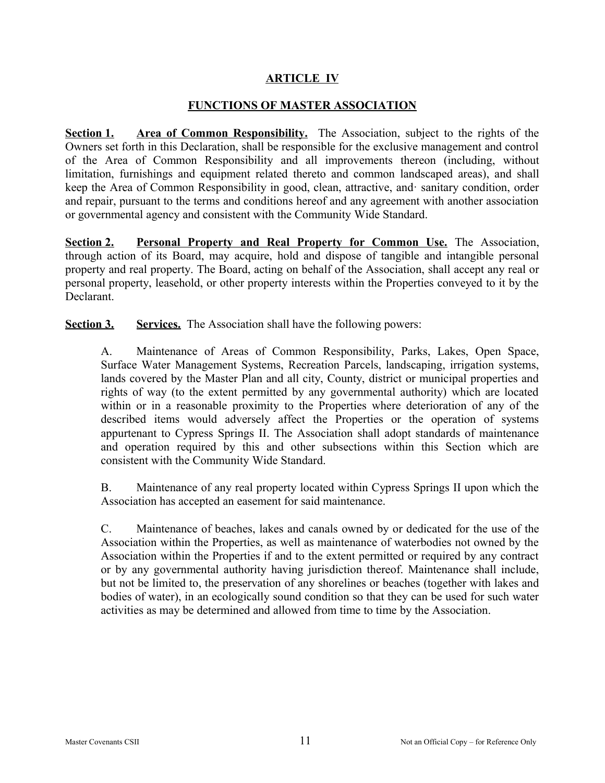#### **ARTICLE IV**

#### **FUNCTIONS OF MASTER ASSOCIATION**

**Section 1. Area of Common Responsibility.** The Association, subject to the rights of the Owners set forth in this Declaration, shall be responsible for the exclusive management and control of the Area of Common Responsibility and all improvements thereon (including, without limitation, furnishings and equipment related thereto and common landscaped areas), and shall keep the Area of Common Responsibility in good, clean, attractive, and· sanitary condition, order and repair, pursuant to the terms and conditions hereof and any agreement with another association or governmental agency and consistent with the Community Wide Standard.

**Section 2. Personal Property and Real Property for Common Use.** The Association, through action of its Board, may acquire, hold and dispose of tangible and intangible personal property and real property. The Board, acting on behalf of the Association, shall accept any real or personal property, leasehold, or other property interests within the Properties conveyed to it by the Declarant.

**Section 3. Services.** The Association shall have the following powers:

A. Maintenance of Areas of Common Responsibility, Parks, Lakes, Open Space, Surface Water Management Systems, Recreation Parcels, landscaping, irrigation systems, lands covered by the Master Plan and all city, County, district or municipal properties and rights of way (to the extent permitted by any governmental authority) which are located within or in a reasonable proximity to the Properties where deterioration of any of the described items would adversely affect the Properties or the operation of systems appurtenant to Cypress Springs II. The Association shall adopt standards of maintenance and operation required by this and other subsections within this Section which are consistent with the Community Wide Standard.

B. Maintenance of any real property located within Cypress Springs II upon which the Association has accepted an easement for said maintenance.

C. Maintenance of beaches, lakes and canals owned by or dedicated for the use of the Association within the Properties, as well as maintenance of waterbodies not owned by the Association within the Properties if and to the extent permitted or required by any contract or by any governmental authority having jurisdiction thereof. Maintenance shall include, but not be limited to, the preservation of any shorelines or beaches (together with lakes and bodies of water), in an ecologically sound condition so that they can be used for such water activities as may be determined and allowed from time to time by the Association.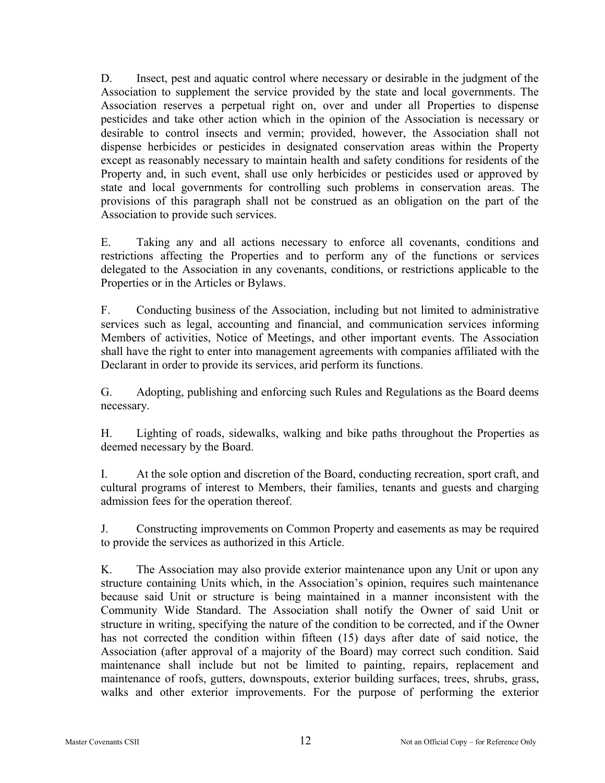D. Insect, pest and aquatic control where necessary or desirable in the judgment of the Association to supplement the service provided by the state and local governments. The Association reserves a perpetual right on, over and under all Properties to dispense pesticides and take other action which in the opinion of the Association is necessary or desirable to control insects and vermin; provided, however, the Association shall not dispense herbicides or pesticides in designated conservation areas within the Property except as reasonably necessary to maintain health and safety conditions for residents of the Property and, in such event, shall use only herbicides or pesticides used or approved by state and local governments for controlling such problems in conservation areas. The provisions of this paragraph shall not be construed as an obligation on the part of the Association to provide such services.

E. Taking any and all actions necessary to enforce all covenants, conditions and restrictions affecting the Properties and to perform any of the functions or services delegated to the Association in any covenants, conditions, or restrictions applicable to the Properties or in the Articles or Bylaws.

F. Conducting business of the Association, including but not limited to administrative services such as legal, accounting and financial, and communication services informing Members of activities, Notice of Meetings, and other important events. The Association shall have the right to enter into management agreements with companies affiliated with the Declarant in order to provide its services, arid perform its functions.

G. Adopting, publishing and enforcing such Rules and Regulations as the Board deems necessary.

H. Lighting of roads, sidewalks, walking and bike paths throughout the Properties as deemed necessary by the Board.

I. At the sole option and discretion of the Board, conducting recreation, sport craft, and cultural programs of interest to Members, their families, tenants and guests and charging admission fees for the operation thereof.

J. Constructing improvements on Common Property and easements as may be required to provide the services as authorized in this Article.

K. The Association may also provide exterior maintenance upon any Unit or upon any structure containing Units which, in the Association's opinion, requires such maintenance because said Unit or structure is being maintained in a manner inconsistent with the Community Wide Standard. The Association shall notify the Owner of said Unit or structure in writing, specifying the nature of the condition to be corrected, and if the Owner has not corrected the condition within fifteen (15) days after date of said notice, the Association (after approval of a majority of the Board) may correct such condition. Said maintenance shall include but not be limited to painting, repairs, replacement and maintenance of roofs, gutters, downspouts, exterior building surfaces, trees, shrubs, grass, walks and other exterior improvements. For the purpose of performing the exterior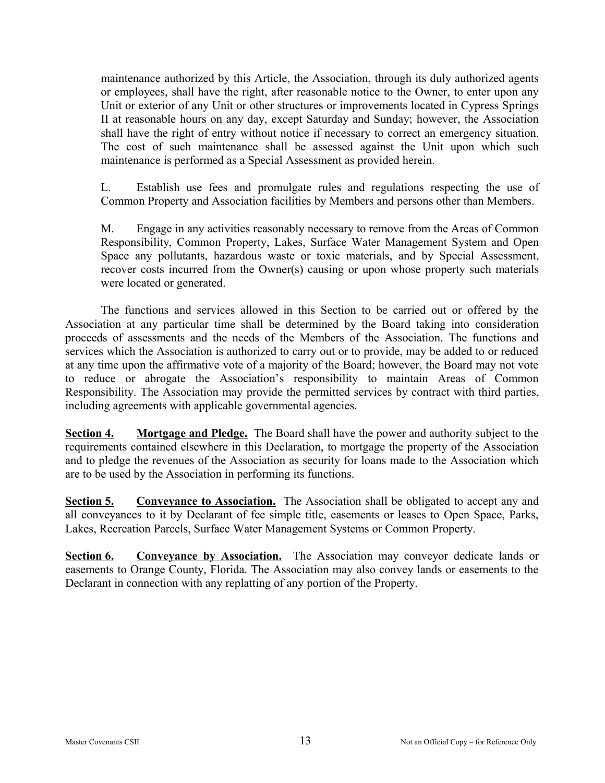maintenance authorized by this Article, the Association, through its duly authorized agents or employees, shall have the right, after reasonable notice to the Owner, to enter upon any Unit or exterior of any Unit or other structures or improvements located in Cypress Springs II at reasonable hours on any day, except Saturday and Sunday; however, the Association shall have the right of entry without notice if necessary to correct an emergency situation. The cost of such maintenance shall be assessed against the Unit upon which such maintenance is performed as a Special Assessment as provided herein.

L. Establish use fees and promulgate rules and regulations respecting the use of Common Property and Association facilities by Members and persons other than Members.

M. Engage in any activities reasonably necessary to remove from the Areas of Common Responsibility, Common Property, Lakes, Surface Water Management System and Open Space any pollutants, hazardous waste or toxic materials, and by Special Assessment, recover costs incurred from the Owner(s) causing or upon whose property such materials were located or generated.

The functions and services allowed in this Section to be carried out or offered by the Association at any particular time shall be determined by the Board taking into consideration proceeds of assessments and the needs of the Members of the Association. The functions and services which the Association is authorized to carry out or to provide, may be added to or reduced at any time upon the affirmative vote of a majority of the Board; however, the Board may not vote to reduce or abrogate the Association's responsibility to maintain Areas of Common Responsibility. The Association may provide the permitted services by contract with third parties, including agreements with applicable governmental agencies.

**Section 4. Mortgage and Pledge.** The Board shall have the power and authority subject to the requirements contained elsewhere in this Declaration, to mortgage the property of the Association and to pledge the revenues of the Association as security for loans made to the Association which are to be used by the Association in performing its functions.

**Section 5. Conveyance to Association.** The Association shall be obligated to accept any and all conveyances to it by Declarant of fee simple title, easements or leases to Open Space, Parks, Lakes, Recreation Parcels, Surface Water Management Systems or Common Property.

**Section 6. Conveyance by Association.** The Association may conveyor dedicate lands or easements to Orange County, Florida. The Association may also convey lands or easements to the Declarant in connection with any replatting of any portion of the Property.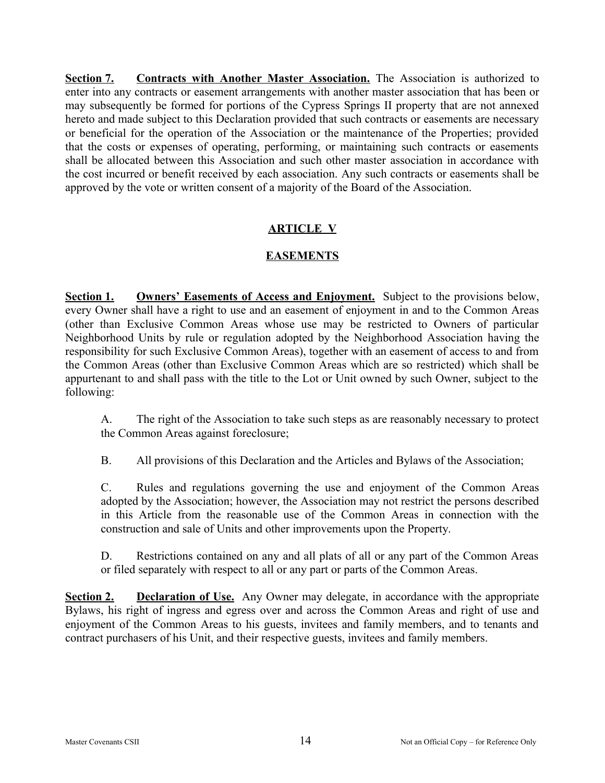**Section 7. Contracts with Another Master Association.** The Association is authorized to enter into any contracts or easement arrangements with another master association that has been or may subsequently be formed for portions of the Cypress Springs II property that are not annexed hereto and made subject to this Declaration provided that such contracts or easements are necessary or beneficial for the operation of the Association or the maintenance of the Properties; provided that the costs or expenses of operating, performing, or maintaining such contracts or easements shall be allocated between this Association and such other master association in accordance with the cost incurred or benefit received by each association. Any such contracts or easements shall be approved by the vote or written consent of a majority of the Board of the Association.

# **ARTICLE V**

## **EASEMENTS**

**Section 1. Owners' Easements of Access and Enjoyment.** Subject to the provisions below, every Owner shall have a right to use and an easement of enjoyment in and to the Common Areas (other than Exclusive Common Areas whose use may be restricted to Owners of particular Neighborhood Units by rule or regulation adopted by the Neighborhood Association having the responsibility for such Exclusive Common Areas), together with an easement of access to and from the Common Areas (other than Exclusive Common Areas which are so restricted) which shall be appurtenant to and shall pass with the title to the Lot or Unit owned by such Owner, subject to the following:

A. The right of the Association to take such steps as are reasonably necessary to protect the Common Areas against foreclosure;

B. All provisions of this Declaration and the Articles and Bylaws of the Association;

C. Rules and regulations governing the use and enjoyment of the Common Areas adopted by the Association; however, the Association may not restrict the persons described in this Article from the reasonable use of the Common Areas in connection with the construction and sale of Units and other improvements upon the Property.

D. Restrictions contained on any and all plats of all or any part of the Common Areas or filed separately with respect to all or any part or parts of the Common Areas.

**Section 2. Declaration of Use.** Any Owner may delegate, in accordance with the appropriate Bylaws, his right of ingress and egress over and across the Common Areas and right of use and enjoyment of the Common Areas to his guests, invitees and family members, and to tenants and contract purchasers of his Unit, and their respective guests, invitees and family members.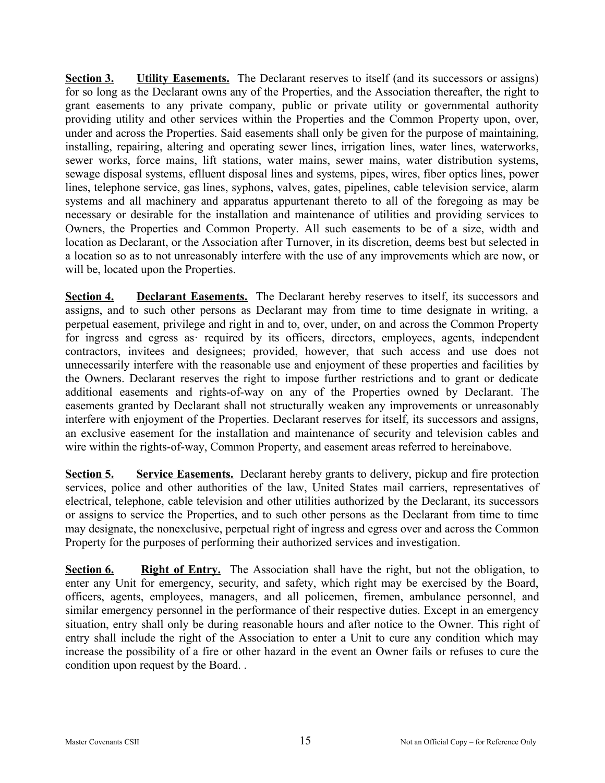**Section 3. Utility Easements.** The Declarant reserves to itself (and its successors or assigns) for so long as the Declarant owns any of the Properties, and the Association thereafter, the right to grant easements to any private company, public or private utility or governmental authority providing utility and other services within the Properties and the Common Property upon, over, under and across the Properties. Said easements shall only be given for the purpose of maintaining, installing, repairing, altering and operating sewer lines, irrigation lines, water lines, waterworks, sewer works, force mains, lift stations, water mains, sewer mains, water distribution systems, sewage disposal systems, eflluent disposal lines and systems, pipes, wires, fiber optics lines, power lines, telephone service, gas lines, syphons, valves, gates, pipelines, cable television service, alarm systems and all machinery and apparatus appurtenant thereto to all of the foregoing as may be necessary or desirable for the installation and maintenance of utilities and providing services to Owners, the Properties and Common Property. All such easements to be of a size, width and location as Declarant, or the Association after Turnover, in its discretion, deems best but selected in a location so as to not unreasonably interfere with the use of any improvements which are now, or will be, located upon the Properties.

**Section 4. Declarant Easements.** The Declarant hereby reserves to itself, its successors and assigns, and to such other persons as Declarant may from time to time designate in writing, a perpetual easement, privilege and right in and to, over, under, on and across the Common Property for ingress and egress as required by its officers, directors, employees, agents, independent contractors, invitees and designees; provided, however, that such access and use does not unnecessarily interfere with the reasonable use and enjoyment of these properties and facilities by the Owners. Declarant reserves the right to impose further restrictions and to grant or dedicate additional easements and rights-of-way on any of the Properties owned by Declarant. The easements granted by Declarant shall not structurally weaken any improvements or unreasonably interfere with enjoyment of the Properties. Declarant reserves for itself, its successors and assigns, an exclusive easement for the installation and maintenance of security and television cables and wire within the rights-of-way, Common Property, and easement areas referred to hereinabove.

**Section 5. Service Easements.** Declarant hereby grants to delivery, pickup and fire protection services, police and other authorities of the law, United States mail carriers, representatives of electrical, telephone, cable television and other utilities authorized by the Declarant, its successors or assigns to service the Properties, and to such other persons as the Declarant from time to time may designate, the nonexclusive, perpetual right of ingress and egress over and across the Common Property for the purposes of performing their authorized services and investigation.

**Section 6. Right of Entry.** The Association shall have the right, but not the obligation, to enter any Unit for emergency, security, and safety, which right may be exercised by the Board, officers, agents, employees, managers, and all policemen, firemen, ambulance personnel, and similar emergency personnel in the performance of their respective duties. Except in an emergency situation, entry shall only be during reasonable hours and after notice to the Owner. This right of entry shall include the right of the Association to enter a Unit to cure any condition which may increase the possibility of a fire or other hazard in the event an Owner fails or refuses to cure the condition upon request by the Board. .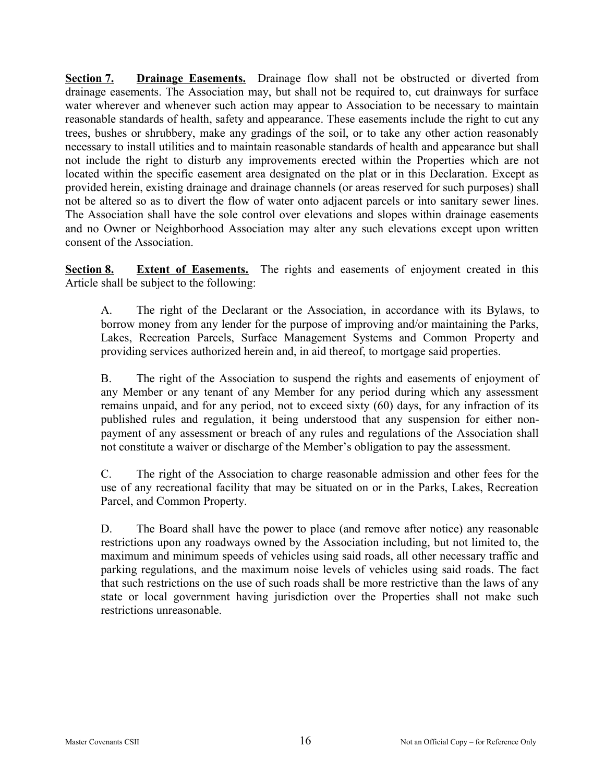**Section 7. Drainage Easements.** Drainage flow shall not be obstructed or diverted from drainage easements. The Association may, but shall not be required to, cut drainways for surface water wherever and whenever such action may appear to Association to be necessary to maintain reasonable standards of health, safety and appearance. These easements include the right to cut any trees, bushes or shrubbery, make any gradings of the soil, or to take any other action reasonably necessary to install utilities and to maintain reasonable standards of health and appearance but shall not include the right to disturb any improvements erected within the Properties which are not located within the specific easement area designated on the plat or in this Declaration. Except as provided herein, existing drainage and drainage channels (or areas reserved for such purposes) shall not be altered so as to divert the flow of water onto adjacent parcels or into sanitary sewer lines. The Association shall have the sole control over elevations and slopes within drainage easements and no Owner or Neighborhood Association may alter any such elevations except upon written consent of the Association.

**Section 8. Extent of Easements.** The rights and easements of enjoyment created in this Article shall be subject to the following:

A. The right of the Declarant or the Association, in accordance with its Bylaws, to borrow money from any lender for the purpose of improving and/or maintaining the Parks, Lakes, Recreation Parcels, Surface Management Systems and Common Property and providing services authorized herein and, in aid thereof, to mortgage said properties.

B. The right of the Association to suspend the rights and easements of enjoyment of any Member or any tenant of any Member for any period during which any assessment remains unpaid, and for any period, not to exceed sixty (60) days, for any infraction of its published rules and regulation, it being understood that any suspension for either nonpayment of any assessment or breach of any rules and regulations of the Association shall not constitute a waiver or discharge of the Member's obligation to pay the assessment.

C. The right of the Association to charge reasonable admission and other fees for the use of any recreational facility that may be situated on or in the Parks, Lakes, Recreation Parcel, and Common Property.

D. The Board shall have the power to place (and remove after notice) any reasonable restrictions upon any roadways owned by the Association including, but not limited to, the maximum and minimum speeds of vehicles using said roads, all other necessary traffic and parking regulations, and the maximum noise levels of vehicles using said roads. The fact that such restrictions on the use of such roads shall be more restrictive than the laws of any state or local government having jurisdiction over the Properties shall not make such restrictions unreasonable.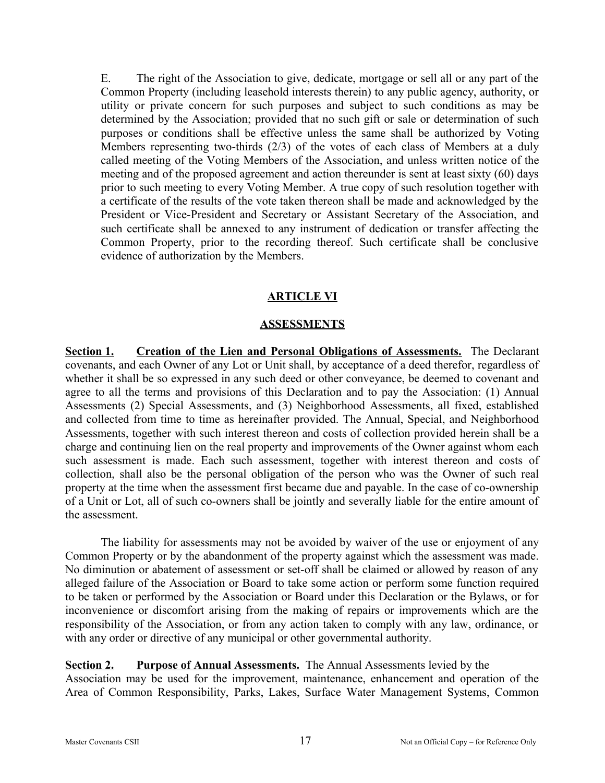E. The right of the Association to give, dedicate, mortgage or sell all or any part of the Common Property (including leasehold interests therein) to any public agency, authority, or utility or private concern for such purposes and subject to such conditions as may be determined by the Association; provided that no such gift or sale or determination of such purposes or conditions shall be effective unless the same shall be authorized by Voting Members representing two-thirds (2/3) of the votes of each class of Members at a duly called meeting of the Voting Members of the Association, and unless written notice of the meeting and of the proposed agreement and action thereunder is sent at least sixty (60) days prior to such meeting to every Voting Member. A true copy of such resolution together with a certificate of the results of the vote taken thereon shall be made and acknowledged by the President or Vice-President and Secretary or Assistant Secretary of the Association, and such certificate shall be annexed to any instrument of dedication or transfer affecting the Common Property, prior to the recording thereof. Such certificate shall be conclusive evidence of authorization by the Members.

## **ARTICLE VI**

#### **ASSESSMENTS**

**Section 1. Creation of the Lien and Personal Obligations of Assessments.** The Declarant covenants, and each Owner of any Lot or Unit shall, by acceptance of a deed therefor, regardless of whether it shall be so expressed in any such deed or other conveyance, be deemed to covenant and agree to all the terms and provisions of this Declaration and to pay the Association: (1) Annual Assessments (2) Special Assessments, and (3) Neighborhood Assessments, all fixed, established and collected from time to time as hereinafter provided. The Annual, Special, and Neighborhood Assessments, together with such interest thereon and costs of collection provided herein shall be a charge and continuing lien on the real property and improvements of the Owner against whom each such assessment is made. Each such assessment, together with interest thereon and costs of collection, shall also be the personal obligation of the person who was the Owner of such real property at the time when the assessment first became due and payable. In the case of co-ownership of a Unit or Lot, all of such co-owners shall be jointly and severally liable for the entire amount of the assessment.

The liability for assessments may not be avoided by waiver of the use or enjoyment of any Common Property or by the abandonment of the property against which the assessment was made. No diminution or abatement of assessment or set-off shall be claimed or allowed by reason of any alleged failure of the Association or Board to take some action or perform some function required to be taken or performed by the Association or Board under this Declaration or the Bylaws, or for inconvenience or discomfort arising from the making of repairs or improvements which are the responsibility of the Association, or from any action taken to comply with any law, ordinance, or with any order or directive of any municipal or other governmental authority.

### **Section 2. Purpose of Annual Assessments.** The Annual Assessments levied by the

Association may be used for the improvement, maintenance, enhancement and operation of the Area of Common Responsibility, Parks, Lakes, Surface Water Management Systems, Common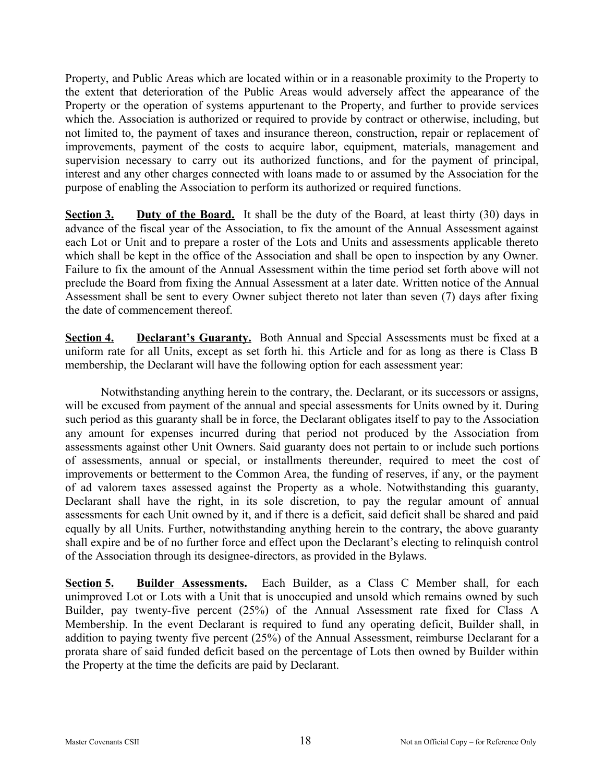Property, and Public Areas which are located within or in a reasonable proximity to the Property to the extent that deterioration of the Public Areas would adversely affect the appearance of the Property or the operation of systems appurtenant to the Property, and further to provide services which the. Association is authorized or required to provide by contract or otherwise, including, but not limited to, the payment of taxes and insurance thereon, construction, repair or replacement of improvements, payment of the costs to acquire labor, equipment, materials, management and supervision necessary to carry out its authorized functions, and for the payment of principal, interest and any other charges connected with loans made to or assumed by the Association for the purpose of enabling the Association to perform its authorized or required functions.

**Section 3. Duty of the Board.** It shall be the duty of the Board, at least thirty (30) days in advance of the fiscal year of the Association, to fix the amount of the Annual Assessment against each Lot or Unit and to prepare a roster of the Lots and Units and assessments applicable thereto which shall be kept in the office of the Association and shall be open to inspection by any Owner. Failure to fix the amount of the Annual Assessment within the time period set forth above will not preclude the Board from fixing the Annual Assessment at a later date. Written notice of the Annual Assessment shall be sent to every Owner subject thereto not later than seven (7) days after fixing the date of commencement thereof.

**Section 4. Declarant's Guaranty.** Both Annual and Special Assessments must be fixed at a uniform rate for all Units, except as set forth hi. this Article and for as long as there is Class B membership, the Declarant will have the following option for each assessment year:

Notwithstanding anything herein to the contrary, the. Declarant, or its successors or assigns, will be excused from payment of the annual and special assessments for Units owned by it. During such period as this guaranty shall be in force, the Declarant obligates itself to pay to the Association any amount for expenses incurred during that period not produced by the Association from assessments against other Unit Owners. Said guaranty does not pertain to or include such portions of assessments, annual or special, or installments thereunder, required to meet the cost of improvements or betterment to the Common Area, the funding of reserves, if any, or the payment of ad valorem taxes assessed against the Property as a whole. Notwithstanding this guaranty, Declarant shall have the right, in its sole discretion, to pay the regular amount of annual assessments for each Unit owned by it, and if there is a deficit, said deficit shall be shared and paid equally by all Units. Further, notwithstanding anything herein to the contrary, the above guaranty shall expire and be of no further force and effect upon the Declarant's electing to relinquish control of the Association through its designee-directors, as provided in the Bylaws.

**Section 5. Builder Assessments.** Each Builder, as a Class C Member shall, for each unimproved Lot or Lots with a Unit that is unoccupied and unsold which remains owned by such Builder, pay twenty-five percent (25%) of the Annual Assessment rate fixed for Class A Membership. In the event Declarant is required to fund any operating deficit, Builder shall, in addition to paying twenty five percent (25%) of the Annual Assessment, reimburse Declarant for a prorata share of said funded deficit based on the percentage of Lots then owned by Builder within the Property at the time the deficits are paid by Declarant.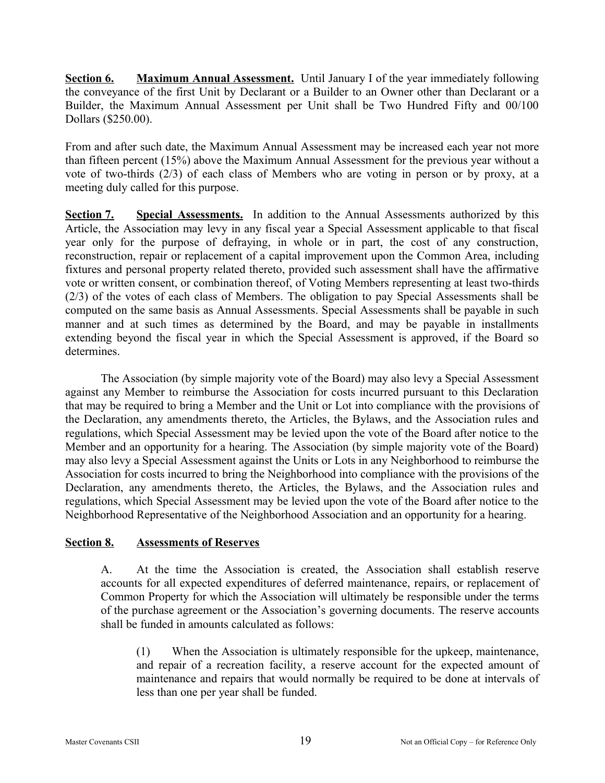**Section 6. Maximum Annual Assessment.** Until January I of the year immediately following the conveyance of the first Unit by Declarant or a Builder to an Owner other than Declarant or a Builder, the Maximum Annual Assessment per Unit shall be Two Hundred Fifty and 00/100 Dollars (\$250.00).

From and after such date, the Maximum Annual Assessment may be increased each year not more than fifteen percent (15%) above the Maximum Annual Assessment for the previous year without a vote of two-thirds (2/3) of each class of Members who are voting in person or by proxy, at a meeting duly called for this purpose.

**Section 7. Special Assessments.** In addition to the Annual Assessments authorized by this Article, the Association may levy in any fiscal year a Special Assessment applicable to that fiscal year only for the purpose of defraying, in whole or in part, the cost of any construction, reconstruction, repair or replacement of a capital improvement upon the Common Area, including fixtures and personal property related thereto, provided such assessment shall have the affirmative vote or written consent, or combination thereof, of Voting Members representing at least two-thirds (2/3) of the votes of each class of Members. The obligation to pay Special Assessments shall be computed on the same basis as Annual Assessments. Special Assessments shall be payable in such manner and at such times as determined by the Board, and may be payable in installments extending beyond the fiscal year in which the Special Assessment is approved, if the Board so determines.

The Association (by simple majority vote of the Board) may also levy a Special Assessment against any Member to reimburse the Association for costs incurred pursuant to this Declaration that may be required to bring a Member and the Unit or Lot into compliance with the provisions of the Declaration, any amendments thereto, the Articles, the Bylaws, and the Association rules and regulations, which Special Assessment may be levied upon the vote of the Board after notice to the Member and an opportunity for a hearing. The Association (by simple majority vote of the Board) may also levy a Special Assessment against the Units or Lots in any Neighborhood to reimburse the Association for costs incurred to bring the Neighborhood into compliance with the provisions of the Declaration, any amendments thereto, the Articles, the Bylaws, and the Association rules and regulations, which Special Assessment may be levied upon the vote of the Board after notice to the Neighborhood Representative of the Neighborhood Association and an opportunity for a hearing.

### **Section 8. Assessments of Reserves**

A. At the time the Association is created, the Association shall establish reserve accounts for all expected expenditures of deferred maintenance, repairs, or replacement of Common Property for which the Association will ultimately be responsible under the terms of the purchase agreement or the Association's governing documents. The reserve accounts shall be funded in amounts calculated as follows:

(1) When the Association is ultimately responsible for the upkeep, maintenance, and repair of a recreation facility, a reserve account for the expected amount of maintenance and repairs that would normally be required to be done at intervals of less than one per year shall be funded.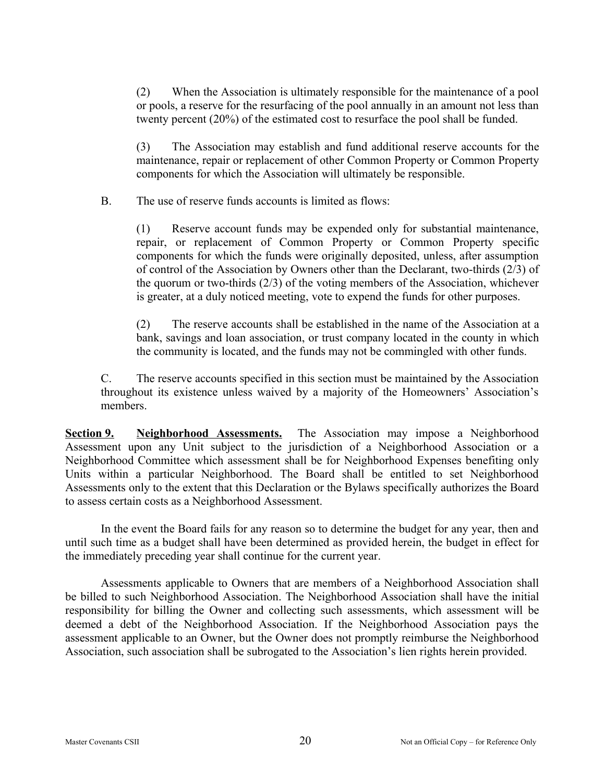(2) When the Association is ultimately responsible for the maintenance of a pool or pools, a reserve for the resurfacing of the pool annually in an amount not less than twenty percent (20%) of the estimated cost to resurface the pool shall be funded.

(3) The Association may establish and fund additional reserve accounts for the maintenance, repair or replacement of other Common Property or Common Property components for which the Association will ultimately be responsible.

B. The use of reserve funds accounts is limited as flows:

(1) Reserve account funds may be expended only for substantial maintenance, repair, or replacement of Common Property or Common Property specific components for which the funds were originally deposited, unless, after assumption of control of the Association by Owners other than the Declarant, two-thirds (2/3) of the quorum or two-thirds (2/3) of the voting members of the Association, whichever is greater, at a duly noticed meeting, vote to expend the funds for other purposes.

(2) The reserve accounts shall be established in the name of the Association at a bank, savings and loan association, or trust company located in the county in which the community is located, and the funds may not be commingled with other funds.

C. The reserve accounts specified in this section must be maintained by the Association throughout its existence unless waived by a majority of the Homeowners' Association's members.

**Section 9. Neighborhood Assessments.** The Association may impose a Neighborhood Assessment upon any Unit subject to the jurisdiction of a Neighborhood Association or a Neighborhood Committee which assessment shall be for Neighborhood Expenses benefiting only Units within a particular Neighborhood. The Board shall be entitled to set Neighborhood Assessments only to the extent that this Declaration or the Bylaws specifically authorizes the Board to assess certain costs as a Neighborhood Assessment.

In the event the Board fails for any reason so to determine the budget for any year, then and until such time as a budget shall have been determined as provided herein, the budget in effect for the immediately preceding year shall continue for the current year.

Assessments applicable to Owners that are members of a Neighborhood Association shall be billed to such Neighborhood Association. The Neighborhood Association shall have the initial responsibility for billing the Owner and collecting such assessments, which assessment will be deemed a debt of the Neighborhood Association. If the Neighborhood Association pays the assessment applicable to an Owner, but the Owner does not promptly reimburse the Neighborhood Association, such association shall be subrogated to the Association's lien rights herein provided.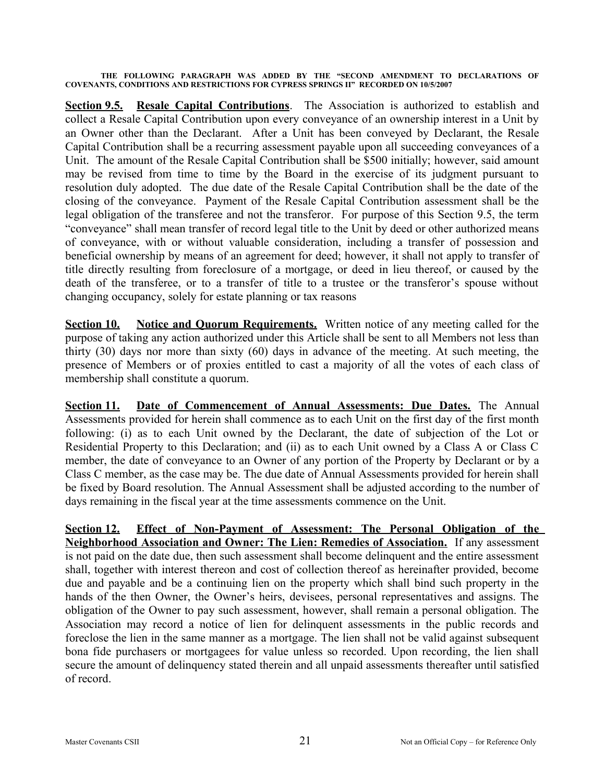**THE FOLLOWING PARAGRAPH WAS ADDED BY THE "SECOND AMENDMENT TO DECLARATIONS OF COVENANTS, CONDITIONS AND RESTRICTIONS FOR CYPRESS SPRINGS II" RECORDED ON 10/5/2007**

**Section 9.5. Resale Capital Contributions**. The Association is authorized to establish and collect a Resale Capital Contribution upon every conveyance of an ownership interest in a Unit by an Owner other than the Declarant. After a Unit has been conveyed by Declarant, the Resale Capital Contribution shall be a recurring assessment payable upon all succeeding conveyances of a Unit. The amount of the Resale Capital Contribution shall be \$500 initially; however, said amount may be revised from time to time by the Board in the exercise of its judgment pursuant to resolution duly adopted. The due date of the Resale Capital Contribution shall be the date of the closing of the conveyance. Payment of the Resale Capital Contribution assessment shall be the legal obligation of the transferee and not the transferor. For purpose of this Section 9.5, the term "conveyance" shall mean transfer of record legal title to the Unit by deed or other authorized means of conveyance, with or without valuable consideration, including a transfer of possession and beneficial ownership by means of an agreement for deed; however, it shall not apply to transfer of title directly resulting from foreclosure of a mortgage, or deed in lieu thereof, or caused by the death of the transferee, or to a transfer of title to a trustee or the transferor's spouse without changing occupancy, solely for estate planning or tax reasons

**<u>Section 10. Notice and Quorum Requirements.</u>** Written notice of any meeting called for the purpose of taking any action authorized under this Article shall be sent to all Members not less than thirty (30) days nor more than sixty (60) days in advance of the meeting. At such meeting, the presence of Members or of proxies entitled to cast a majority of all the votes of each class of membership shall constitute a quorum.

**Section 11. Date of Commencement of Annual Assessments: Due Dates.** The Annual Assessments provided for herein shall commence as to each Unit on the first day of the first month following: (i) as to each Unit owned by the Declarant, the date of subjection of the Lot or Residential Property to this Declaration; and (ii) as to each Unit owned by a Class A or Class C member, the date of conveyance to an Owner of any portion of the Property by Declarant or by a Class C member, as the case may be. The due date of Annual Assessments provided for herein shall be fixed by Board resolution. The Annual Assessment shall be adjusted according to the number of days remaining in the fiscal year at the time assessments commence on the Unit.

**Section 12. Effect of Non-Payment of Assessment: The Personal Obligation of the Neighborhood Association and Owner: The Lien: Remedies of Association.** If any assessment is not paid on the date due, then such assessment shall become delinquent and the entire assessment shall, together with interest thereon and cost of collection thereof as hereinafter provided, become due and payable and be a continuing lien on the property which shall bind such property in the hands of the then Owner, the Owner's heirs, devisees, personal representatives and assigns. The obligation of the Owner to pay such assessment, however, shall remain a personal obligation. The Association may record a notice of lien for delinquent assessments in the public records and foreclose the lien in the same manner as a mortgage. The lien shall not be valid against subsequent bona fide purchasers or mortgagees for value unless so recorded. Upon recording, the lien shall secure the amount of delinquency stated therein and all unpaid assessments thereafter until satisfied of record.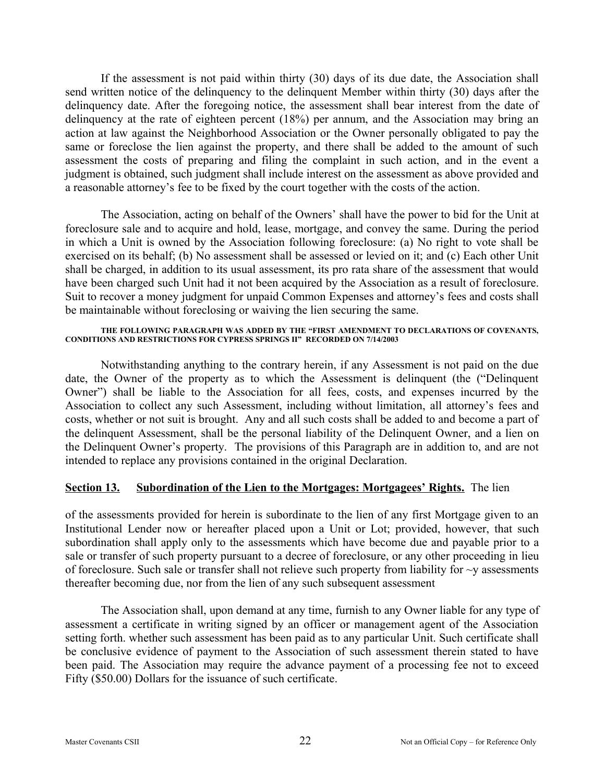If the assessment is not paid within thirty (30) days of its due date, the Association shall send written notice of the delinquency to the delinquent Member within thirty (30) days after the delinquency date. After the foregoing notice, the assessment shall bear interest from the date of delinquency at the rate of eighteen percent (18%) per annum, and the Association may bring an action at law against the Neighborhood Association or the Owner personally obligated to pay the same or foreclose the lien against the property, and there shall be added to the amount of such assessment the costs of preparing and filing the complaint in such action, and in the event a judgment is obtained, such judgment shall include interest on the assessment as above provided and a reasonable attorney's fee to be fixed by the court together with the costs of the action.

The Association, acting on behalf of the Owners' shall have the power to bid for the Unit at foreclosure sale and to acquire and hold, lease, mortgage, and convey the same. During the period in which a Unit is owned by the Association following foreclosure: (a) No right to vote shall be exercised on its behalf; (b) No assessment shall be assessed or levied on it; and (c) Each other Unit shall be charged, in addition to its usual assessment, its pro rata share of the assessment that would have been charged such Unit had it not been acquired by the Association as a result of foreclosure. Suit to recover a money judgment for unpaid Common Expenses and attorney's fees and costs shall be maintainable without foreclosing or waiving the lien securing the same.

#### **THE FOLLOWING PARAGRAPH WAS ADDED BY THE "FIRST AMENDMENT TO DECLARATIONS OF COVENANTS, CONDITIONS AND RESTRICTIONS FOR CYPRESS SPRINGS II" RECORDED ON 7/14/2003**

Notwithstanding anything to the contrary herein, if any Assessment is not paid on the due date, the Owner of the property as to which the Assessment is delinquent (the ("Delinquent Owner") shall be liable to the Association for all fees, costs, and expenses incurred by the Association to collect any such Assessment, including without limitation, all attorney's fees and costs, whether or not suit is brought. Any and all such costs shall be added to and become a part of the delinquent Assessment, shall be the personal liability of the Delinquent Owner, and a lien on the Delinquent Owner's property. The provisions of this Paragraph are in addition to, and are not intended to replace any provisions contained in the original Declaration.

#### **Section 13. Subordination of the Lien to the Mortgages: Mortgagees' Rights.** The lien

of the assessments provided for herein is subordinate to the lien of any first Mortgage given to an Institutional Lender now or hereafter placed upon a Unit or Lot; provided, however, that such subordination shall apply only to the assessments which have become due and payable prior to a sale or transfer of such property pursuant to a decree of foreclosure, or any other proceeding in lieu of foreclosure. Such sale or transfer shall not relieve such property from liability for  $\sim$ y assessments thereafter becoming due, nor from the lien of any such subsequent assessment

The Association shall, upon demand at any time, furnish to any Owner liable for any type of assessment a certificate in writing signed by an officer or management agent of the Association setting forth. whether such assessment has been paid as to any particular Unit. Such certificate shall be conclusive evidence of payment to the Association of such assessment therein stated to have been paid. The Association may require the advance payment of a processing fee not to exceed Fifty (\$50.00) Dollars for the issuance of such certificate.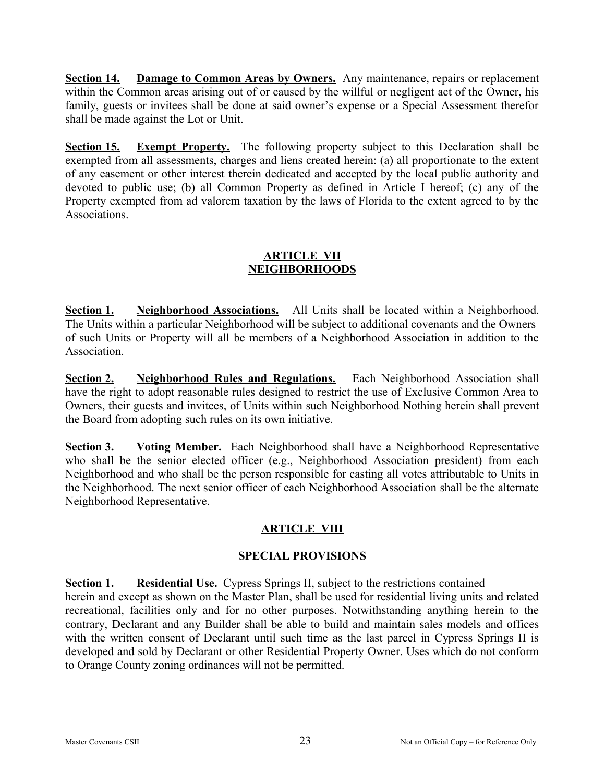**Section 14. Damage to Common Areas by Owners.** Any maintenance, repairs or replacement within the Common areas arising out of or caused by the willful or negligent act of the Owner, his family, guests or invitees shall be done at said owner's expense or a Special Assessment therefor shall be made against the Lot or Unit.

**Section 15. Exempt Property.** The following property subject to this Declaration shall be exempted from all assessments, charges and liens created herein: (a) all proportionate to the extent of any easement or other interest therein dedicated and accepted by the local public authority and devoted to public use; (b) all Common Property as defined in Article I hereof; (c) any of the Property exempted from ad valorem taxation by the laws of Florida to the extent agreed to by the Associations.

### **ARTICLE VII NEIGHBORHOODS**

**Section 1. Neighborhood Associations.** All Units shall be located within a Neighborhood. The Units within a particular Neighborhood will be subject to additional covenants and the Owners of such Units or Property will all be members of a Neighborhood Association in addition to the **Association** 

**Section 2. Neighborhood Rules and Regulations.** Each Neighborhood Association shall have the right to adopt reasonable rules designed to restrict the use of Exclusive Common Area to Owners, their guests and invitees, of Units within such Neighborhood Nothing herein shall prevent the Board from adopting such rules on its own initiative.

**Section 3. Voting Member.** Each Neighborhood shall have a Neighborhood Representative who shall be the senior elected officer (e.g., Neighborhood Association president) from each Neighborhood and who shall be the person responsible for casting all votes attributable to Units in the Neighborhood. The next senior officer of each Neighborhood Association shall be the alternate Neighborhood Representative.

# **ARTICLE VIII**

# **SPECIAL PROVISIONS**

**Section 1. Residential Use.** Cypress Springs II, subject to the restrictions contained herein and except as shown on the Master Plan, shall be used for residential living units and related recreational, facilities only and for no other purposes. Notwithstanding anything herein to the contrary, Declarant and any Builder shall be able to build and maintain sales models and offices with the written consent of Declarant until such time as the last parcel in Cypress Springs II is developed and sold by Declarant or other Residential Property Owner. Uses which do not conform to Orange County zoning ordinances will not be permitted.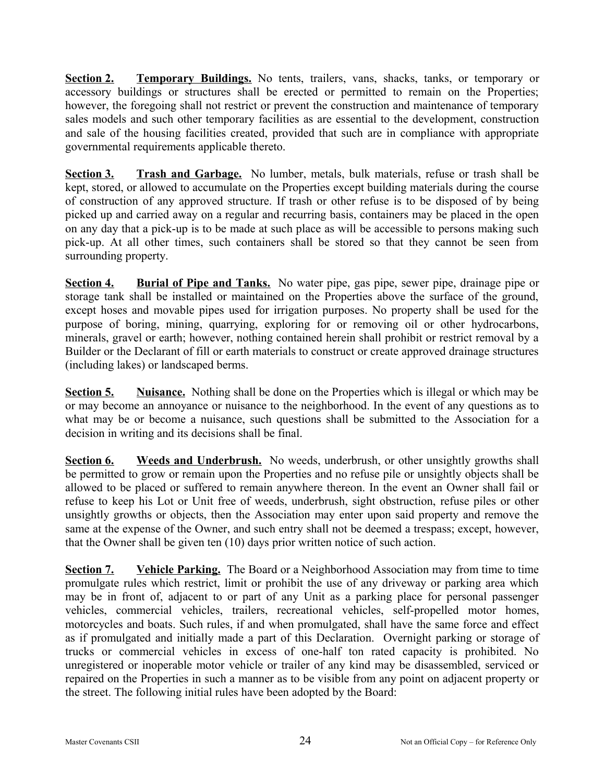**Section 2. Temporary Buildings.** No tents, trailers, vans, shacks, tanks, or temporary or accessory buildings or structures shall be erected or permitted to remain on the Properties; however, the foregoing shall not restrict or prevent the construction and maintenance of temporary sales models and such other temporary facilities as are essential to the development, construction and sale of the housing facilities created, provided that such are in compliance with appropriate governmental requirements applicable thereto.

**Section 3. Trash and Garbage.** No lumber, metals, bulk materials, refuse or trash shall be kept, stored, or allowed to accumulate on the Properties except building materials during the course of construction of any approved structure. If trash or other refuse is to be disposed of by being picked up and carried away on a regular and recurring basis, containers may be placed in the open on any day that a pick-up is to be made at such place as will be accessible to persons making such pick-up. At all other times, such containers shall be stored so that they cannot be seen from surrounding property.

**Section 4. Burial of Pipe and Tanks.** No water pipe, gas pipe, sewer pipe, drainage pipe or storage tank shall be installed or maintained on the Properties above the surface of the ground, except hoses and movable pipes used for irrigation purposes. No property shall be used for the purpose of boring, mining, quarrying, exploring for or removing oil or other hydrocarbons, minerals, gravel or earth; however, nothing contained herein shall prohibit or restrict removal by a Builder or the Declarant of fill or earth materials to construct or create approved drainage structures (including lakes) or landscaped berms.

**Section 5. Nuisance.** Nothing shall be done on the Properties which is illegal or which may be or may become an annoyance or nuisance to the neighborhood. In the event of any questions as to what may be or become a nuisance, such questions shall be submitted to the Association for a decision in writing and its decisions shall be final.

**Section 6. Weeds and Underbrush.** No weeds, underbrush, or other unsightly growths shall be permitted to grow or remain upon the Properties and no refuse pile or unsightly objects shall be allowed to be placed or suffered to remain anywhere thereon. In the event an Owner shall fail or refuse to keep his Lot or Unit free of weeds, underbrush, sight obstruction, refuse piles or other unsightly growths or objects, then the Association may enter upon said property and remove the same at the expense of the Owner, and such entry shall not be deemed a trespass; except, however, that the Owner shall be given ten (10) days prior written notice of such action.

**Section 7. Vehicle Parking.** The Board or a Neighborhood Association may from time to time promulgate rules which restrict, limit or prohibit the use of any driveway or parking area which may be in front of, adjacent to or part of any Unit as a parking place for personal passenger vehicles, commercial vehicles, trailers, recreational vehicles, self-propelled motor homes, motorcycles and boats. Such rules, if and when promulgated, shall have the same force and effect as if promulgated and initially made a part of this Declaration. Overnight parking or storage of trucks or commercial vehicles in excess of one-half ton rated capacity is prohibited. No unregistered or inoperable motor vehicle or trailer of any kind may be disassembled, serviced or repaired on the Properties in such a manner as to be visible from any point on adjacent property or the street. The following initial rules have been adopted by the Board: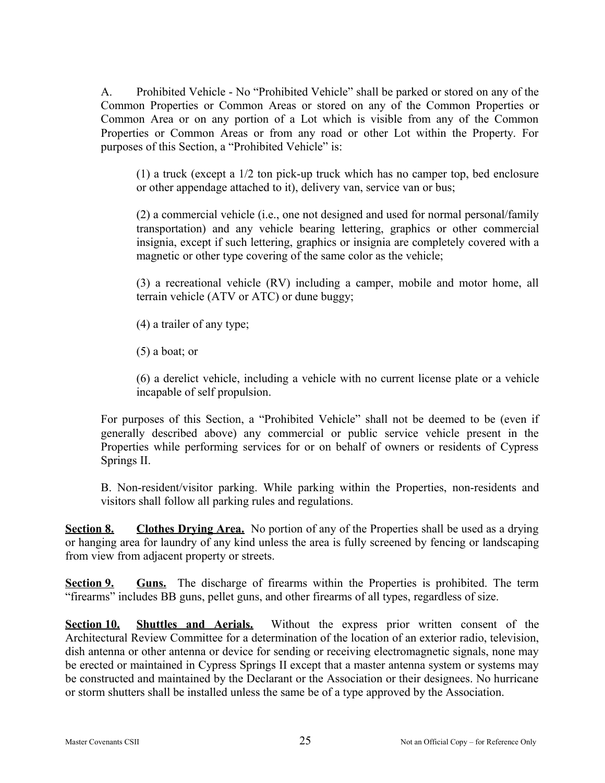A. Prohibited Vehicle - No "Prohibited Vehicle" shall be parked or stored on any of the Common Properties or Common Areas or stored on any of the Common Properties or Common Area or on any portion of a Lot which is visible from any of the Common Properties or Common Areas or from any road or other Lot within the Property. For purposes of this Section, a "Prohibited Vehicle" is:

(1) a truck (except a 1/2 ton pick-up truck which has no camper top, bed enclosure or other appendage attached to it), delivery van, service van or bus;

(2) a commercial vehicle (i.e., one not designed and used for normal personal/family transportation) and any vehicle bearing lettering, graphics or other commercial insignia, except if such lettering, graphics or insignia are completely covered with a magnetic or other type covering of the same color as the vehicle;

(3) a recreational vehicle (RV) including a camper, mobile and motor home, all terrain vehicle (ATV or ATC) or dune buggy;

(4) a trailer of any type;

(5) a boat; or

(6) a derelict vehicle, including a vehicle with no current license plate or a vehicle incapable of self propulsion.

For purposes of this Section, a "Prohibited Vehicle" shall not be deemed to be (even if generally described above) any commercial or public service vehicle present in the Properties while performing services for or on behalf of owners or residents of Cypress Springs II.

B. Non-resident/visitor parking. While parking within the Properties, non-residents and visitors shall follow all parking rules and regulations.

**Section 8. Clothes Drying Area.** No portion of any of the Properties shall be used as a drying or hanging area for laundry of any kind unless the area is fully screened by fencing or landscaping from view from adjacent property or streets.

**Section 9. Guns.** The discharge of firearms within the Properties is prohibited. The term "firearms" includes BB guns, pellet guns, and other firearms of all types, regardless of size.

**Section 10. Shuttles and Aerials.** Without the express prior written consent of the Architectural Review Committee for a determination of the location of an exterior radio, television, dish antenna or other antenna or device for sending or receiving electromagnetic signals, none may be erected or maintained in Cypress Springs II except that a master antenna system or systems may be constructed and maintained by the Declarant or the Association or their designees. No hurricane or storm shutters shall be installed unless the same be of a type approved by the Association.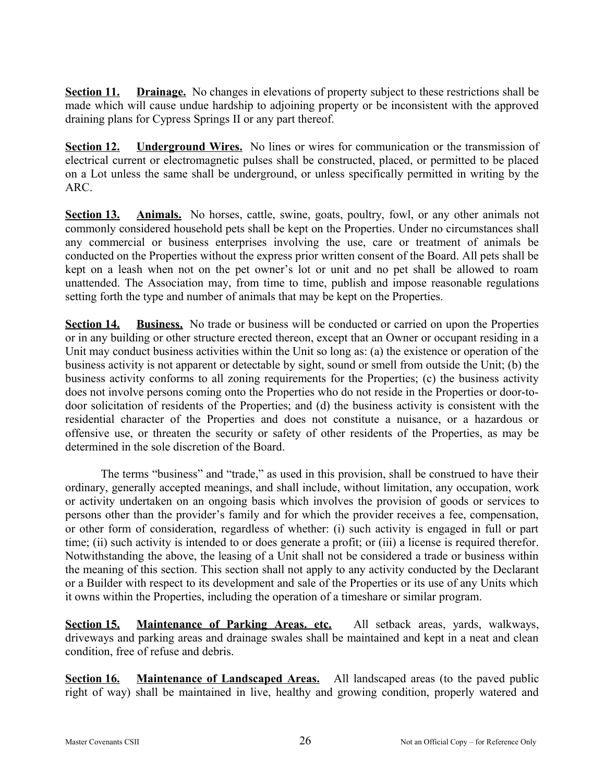**Section 11. Drainage.** No changes in elevations of property subject to these restrictions shall be made which will cause undue hardship to adjoining property or be inconsistent with the approved draining plans for Cypress Springs II or any part thereof.

**Section 12. Underground Wires.** No lines or wires for communication or the transmission of electrical current or electromagnetic pulses shall be constructed, placed, or permitted to be placed on a Lot unless the same shall be underground, or unless specifically permitted in writing by the ARC.

**Section 13. Animals.** No horses, cattle, swine, goats, poultry, fowl, or any other animals not commonly considered household pets shall be kept on the Properties. Under no circumstances shall any commercial or business enterprises involving the use, care or treatment of animals be conducted on the Properties without the express prior written consent of the Board. All pets shall be kept on a leash when not on the pet owner's lot or unit and no pet shall be allowed to roam unattended. The Association may, from time to time, publish and impose reasonable regulations setting forth the type and number of animals that may be kept on the Properties.

**Section 14. Business.** No trade or business will be conducted or carried on upon the Properties or in any building or other structure erected thereon, except that an Owner or occupant residing in a Unit may conduct business activities within the Unit so long as: (a) the existence or operation of the business activity is not apparent or detectable by sight, sound or smell from outside the Unit; (b) the business activity conforms to all zoning requirements for the Properties; (c) the business activity does not involve persons coming onto the Properties who do not reside in the Properties or door-todoor solicitation of residents of the Properties; and (d) the business activity is consistent with the residential character of the Properties and does not constitute a nuisance, or a hazardous or offensive use, or threaten the security or safety of other residents of the Properties, as may be determined in the sole discretion of the Board.

The terms "business" and "trade," as used in this provision, shall be construed to have their ordinary, generally accepted meanings, and shall include, without limitation, any occupation, work or activity undertaken on an ongoing basis which involves the provision of goods or services to persons other than the provider's family and for which the provider receives a fee, compensation, or other form of consideration, regardless of whether: (i) such activity is engaged in full or part time; (ii) such activity is intended to or does generate a profit; or (iii) a license is required therefor. Notwithstanding the above, the leasing of a Unit shall not be considered a trade or business within the meaning of this section. This section shall not apply to any activity conducted by the Declarant or a Builder with respect to its development and sale of the Properties or its use of any Units which it owns within the Properties, including the operation of a timeshare or similar program.

**Section 15. Maintenance of Parking Areas. etc.** All setback areas, yards, walkways, driveways and parking areas and drainage swales shall be maintained and kept in a neat and clean condition, free of refuse and debris.

**Section 16. Maintenance of Landscaped Areas.** All landscaped areas (to the paved public right of way) shall be maintained in live, healthy and growing condition, properly watered and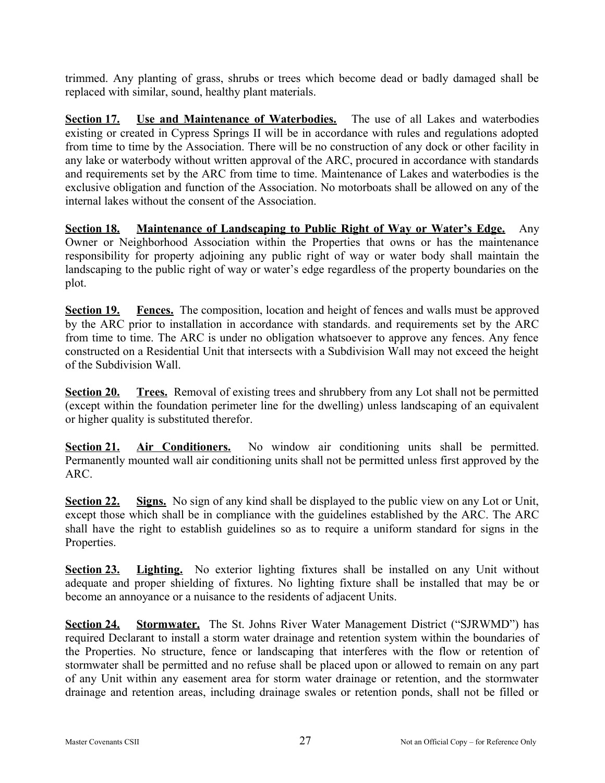trimmed. Any planting of grass, shrubs or trees which become dead or badly damaged shall be replaced with similar, sound, healthy plant materials.

**Section 17. Use and Maintenance of Waterbodies.** The use of all Lakes and waterbodies existing or created in Cypress Springs II will be in accordance with rules and regulations adopted from time to time by the Association. There will be no construction of any dock or other facility in any lake or waterbody without written approval of the ARC, procured in accordance with standards and requirements set by the ARC from time to time. Maintenance of Lakes and waterbodies is the exclusive obligation and function of the Association. No motorboats shall be allowed on any of the internal lakes without the consent of the Association.

**Section 18. Maintenance of Landscaping to Public Right of Way or Water's Edge.** Any Owner or Neighborhood Association within the Properties that owns or has the maintenance responsibility for property adjoining any public right of way or water body shall maintain the landscaping to the public right of way or water's edge regardless of the property boundaries on the plot.

**Section 19. Fences.** The composition, location and height of fences and walls must be approved by the ARC prior to installation in accordance with standards. and requirements set by the ARC from time to time. The ARC is under no obligation whatsoever to approve any fences. Any fence constructed on a Residential Unit that intersects with a Subdivision Wall may not exceed the height of the Subdivision Wall.

**Section 20. Trees.** Removal of existing trees and shrubbery from any Lot shall not be permitted (except within the foundation perimeter line for the dwelling) unless landscaping of an equivalent or higher quality is substituted therefor.

**Section 21. Air Conditioners.** No window air conditioning units shall be permitted. Permanently mounted wall air conditioning units shall not be permitted unless first approved by the ARC.

**Section 22. Signs.** No sign of any kind shall be displayed to the public view on any Lot or Unit, except those which shall be in compliance with the guidelines established by the ARC. The ARC shall have the right to establish guidelines so as to require a uniform standard for signs in the Properties.

**Section 23. Lighting.** No exterior lighting fixtures shall be installed on any Unit without adequate and proper shielding of fixtures. No lighting fixture shall be installed that may be or become an annoyance or a nuisance to the residents of adjacent Units.

**Section 24.** Stormwater. The St. Johns River Water Management District ("SJRWMD") has required Declarant to install a storm water drainage and retention system within the boundaries of the Properties. No structure, fence or landscaping that interferes with the flow or retention of stormwater shall be permitted and no refuse shall be placed upon or allowed to remain on any part of any Unit within any easement area for storm water drainage or retention, and the stormwater drainage and retention areas, including drainage swales or retention ponds, shall not be filled or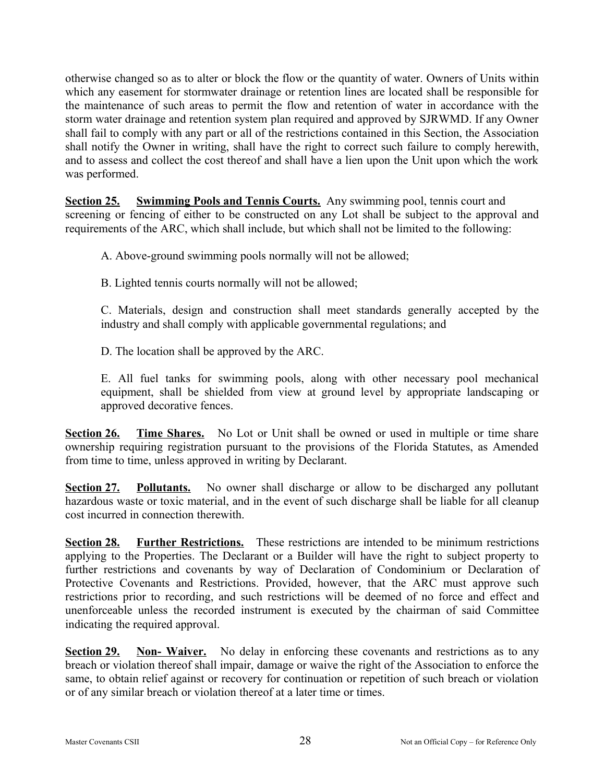otherwise changed so as to alter or block the flow or the quantity of water. Owners of Units within which any easement for stormwater drainage or retention lines are located shall be responsible for the maintenance of such areas to permit the flow and retention of water in accordance with the storm water drainage and retention system plan required and approved by SJRWMD. If any Owner shall fail to comply with any part or all of the restrictions contained in this Section, the Association shall notify the Owner in writing, shall have the right to correct such failure to comply herewith, and to assess and collect the cost thereof and shall have a lien upon the Unit upon which the work was performed.

**Section 25. Swimming Pools and Tennis Courts.** Any swimming pool, tennis court and screening or fencing of either to be constructed on any Lot shall be subject to the approval and requirements of the ARC, which shall include, but which shall not be limited to the following:

A. Above-ground swimming pools normally will not be allowed;

B. Lighted tennis courts normally will not be allowed;

C. Materials, design and construction shall meet standards generally accepted by the industry and shall comply with applicable governmental regulations; and

D. The location shall be approved by the ARC.

E. All fuel tanks for swimming pools, along with other necessary pool mechanical equipment, shall be shielded from view at ground level by appropriate landscaping or approved decorative fences.

**Section 26. Time Shares.** No Lot or Unit shall be owned or used in multiple or time share ownership requiring registration pursuant to the provisions of the Florida Statutes, as Amended from time to time, unless approved in writing by Declarant.

**Section 27. Pollutants.** No owner shall discharge or allow to be discharged any pollutant hazardous waste or toxic material, and in the event of such discharge shall be liable for all cleanup cost incurred in connection therewith.

**Section 28.** Further Restrictions. These restrictions are intended to be minimum restrictions applying to the Properties. The Declarant or a Builder will have the right to subject property to further restrictions and covenants by way of Declaration of Condominium or Declaration of Protective Covenants and Restrictions. Provided, however, that the ARC must approve such restrictions prior to recording, and such restrictions will be deemed of no force and effect and unenforceable unless the recorded instrument is executed by the chairman of said Committee indicating the required approval.

**Section 29. Non- Waiver.** No delay in enforcing these covenants and restrictions as to any breach or violation thereof shall impair, damage or waive the right of the Association to enforce the same, to obtain relief against or recovery for continuation or repetition of such breach or violation or of any similar breach or violation thereof at a later time or times.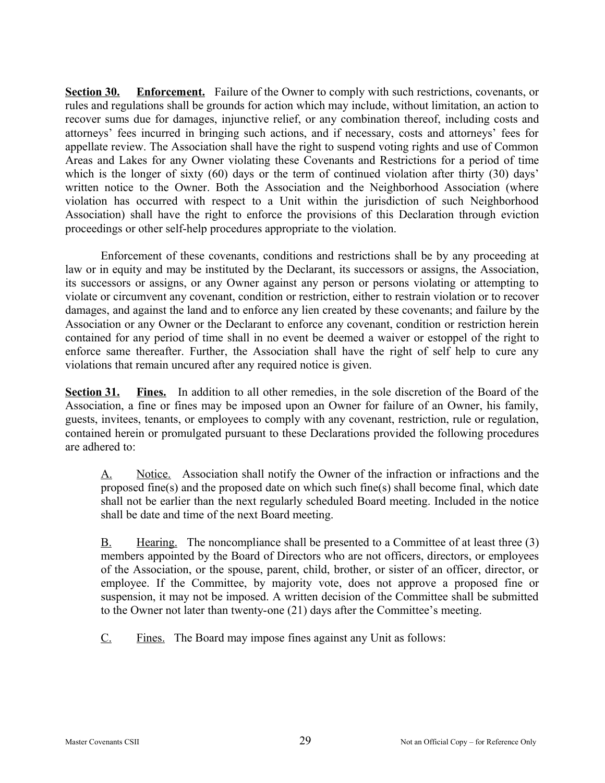**Section 30. Enforcement.** Failure of the Owner to comply with such restrictions, covenants, or rules and regulations shall be grounds for action which may include, without limitation, an action to recover sums due for damages, injunctive relief, or any combination thereof, including costs and attorneys' fees incurred in bringing such actions, and if necessary, costs and attorneys' fees for appellate review. The Association shall have the right to suspend voting rights and use of Common Areas and Lakes for any Owner violating these Covenants and Restrictions for a period of time which is the longer of sixty (60) days or the term of continued violation after thirty (30) days' written notice to the Owner. Both the Association and the Neighborhood Association (where violation has occurred with respect to a Unit within the jurisdiction of such Neighborhood Association) shall have the right to enforce the provisions of this Declaration through eviction proceedings or other self-help procedures appropriate to the violation.

Enforcement of these covenants, conditions and restrictions shall be by any proceeding at law or in equity and may be instituted by the Declarant, its successors or assigns, the Association, its successors or assigns, or any Owner against any person or persons violating or attempting to violate or circumvent any covenant, condition or restriction, either to restrain violation or to recover damages, and against the land and to enforce any lien created by these covenants; and failure by the Association or any Owner or the Declarant to enforce any covenant, condition or restriction herein contained for any period of time shall in no event be deemed a waiver or estoppel of the right to enforce same thereafter. Further, the Association shall have the right of self help to cure any violations that remain uncured after any required notice is given.

**Section 31. Fines.** In addition to all other remedies, in the sole discretion of the Board of the Association, a fine or fines may be imposed upon an Owner for failure of an Owner, his family, guests, invitees, tenants, or employees to comply with any covenant, restriction, rule or regulation, contained herein or promulgated pursuant to these Declarations provided the following procedures are adhered to:

A. Notice. Association shall notify the Owner of the infraction or infractions and the proposed fine(s) and the proposed date on which such fine(s) shall become final, which date shall not be earlier than the next regularly scheduled Board meeting. Included in the notice shall be date and time of the next Board meeting.

B. Hearing. The noncompliance shall be presented to a Committee of at least three (3) members appointed by the Board of Directors who are not officers, directors, or employees of the Association, or the spouse, parent, child, brother, or sister of an officer, director, or employee. If the Committee, by majority vote, does not approve a proposed fine or suspension, it may not be imposed. A written decision of the Committee shall be submitted to the Owner not later than twenty-one (21) days after the Committee's meeting.

C. Fines. The Board may impose fines against any Unit as follows: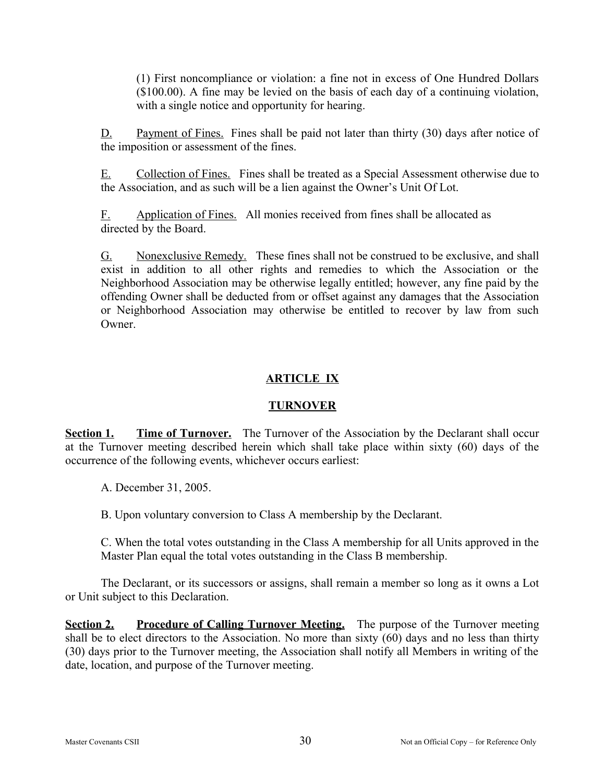(1) First noncompliance or violation: a fine not in excess of One Hundred Dollars (\$100.00). A fine may be levied on the basis of each day of a continuing violation, with a single notice and opportunity for hearing.

D. Payment of Fines. Fines shall be paid not later than thirty (30) days after notice of the imposition or assessment of the fines.

E. Collection of Fines. Fines shall be treated as a Special Assessment otherwise due to the Association, and as such will be a lien against the Owner's Unit Of Lot.

F. Application of Fines. All monies received from fines shall be allocated as directed by the Board.

G. Nonexclusive Remedy. These fines shall not be construed to be exclusive, and shall exist in addition to all other rights and remedies to which the Association or the Neighborhood Association may be otherwise legally entitled; however, any fine paid by the offending Owner shall be deducted from or offset against any damages that the Association or Neighborhood Association may otherwise be entitled to recover by law from such **Owner** 

# **ARTICLE IX**

# **TURNOVER**

**Section 1. Time of Turnover.** The Turnover of the Association by the Declarant shall occur at the Turnover meeting described herein which shall take place within sixty (60) days of the occurrence of the following events, whichever occurs earliest:

A. December 31, 2005.

B. Upon voluntary conversion to Class A membership by the Declarant.

C. When the total votes outstanding in the Class A membership for all Units approved in the Master Plan equal the total votes outstanding in the Class B membership.

The Declarant, or its successors or assigns, shall remain a member so long as it owns a Lot or Unit subject to this Declaration.

**<u>Section 2.</u> Procedure of Calling Turnover Meeting.** The purpose of the Turnover meeting shall be to elect directors to the Association. No more than sixty (60) days and no less than thirty (30) days prior to the Turnover meeting, the Association shall notify all Members in writing of the date, location, and purpose of the Turnover meeting.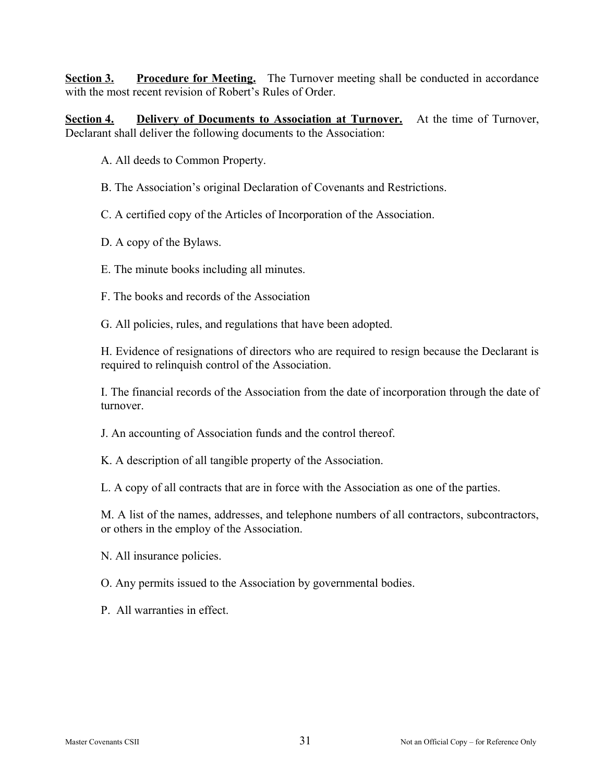**Section 3. Procedure for Meeting.** The Turnover meeting shall be conducted in accordance with the most recent revision of Robert's Rules of Order.

**Section 4. Delivery of Documents to Association at Turnover.** At the time of Turnover, Declarant shall deliver the following documents to the Association:

A. All deeds to Common Property.

B. The Association's original Declaration of Covenants and Restrictions.

C. A certified copy of the Articles of Incorporation of the Association.

D. A copy of the Bylaws.

E. The minute books including all minutes.

F. The books and records of the Association

G. All policies, rules, and regulations that have been adopted.

H. Evidence of resignations of directors who are required to resign because the Declarant is required to relinquish control of the Association.

I. The financial records of the Association from the date of incorporation through the date of turnover.

J. An accounting of Association funds and the control thereof.

K. A description of all tangible property of the Association.

L. A copy of all contracts that are in force with the Association as one of the parties.

M. A list of the names, addresses, and telephone numbers of all contractors, subcontractors, or others in the employ of the Association.

N. All insurance policies.

O. Any permits issued to the Association by governmental bodies.

P. All warranties in effect.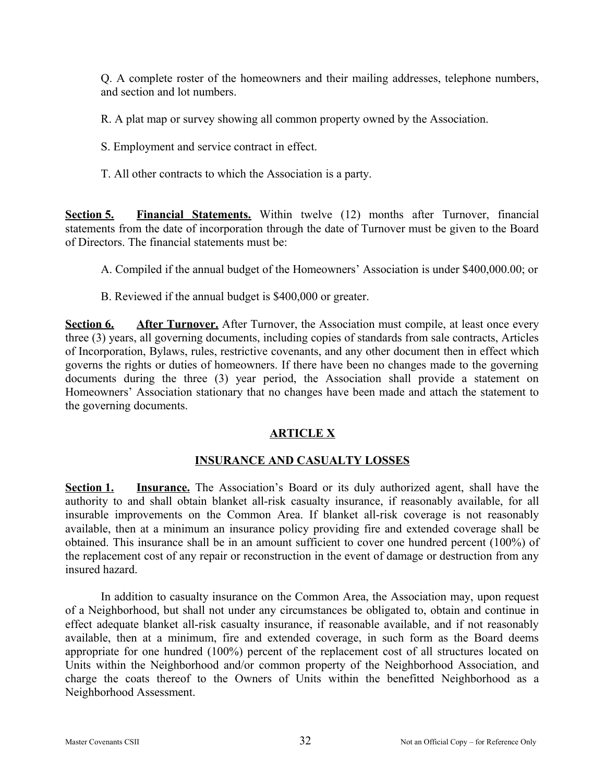Q. A complete roster of the homeowners and their mailing addresses, telephone numbers, and section and lot numbers.

R. A plat map or survey showing all common property owned by the Association.

- S. Employment and service contract in effect.
- T. All other contracts to which the Association is a party.

**Section 5. Financial Statements.** Within twelve (12) months after Turnover, financial statements from the date of incorporation through the date of Turnover must be given to the Board of Directors. The financial statements must be:

A. Compiled if the annual budget of the Homeowners' Association is under \$400,000.00; or

B. Reviewed if the annual budget is \$400,000 or greater.

**Section 6. After Turnover.** After Turnover, the Association must compile, at least once every three (3) years, all governing documents, including copies of standards from sale contracts, Articles of Incorporation, Bylaws, rules, restrictive covenants, and any other document then in effect which governs the rights or duties of homeowners. If there have been no changes made to the governing documents during the three (3) year period, the Association shall provide a statement on Homeowners' Association stationary that no changes have been made and attach the statement to the governing documents.

### **ARTICLE X**

### **INSURANCE AND CASUALTY LOSSES**

**Section 1. Insurance.** The Association's Board or its duly authorized agent, shall have the authority to and shall obtain blanket all-risk casualty insurance, if reasonably available, for all insurable improvements on the Common Area. If blanket all-risk coverage is not reasonably available, then at a minimum an insurance policy providing fire and extended coverage shall be obtained. This insurance shall be in an amount sufficient to cover one hundred percent (100%) of the replacement cost of any repair or reconstruction in the event of damage or destruction from any insured hazard.

In addition to casualty insurance on the Common Area, the Association may, upon request of a Neighborhood, but shall not under any circumstances be obligated to, obtain and continue in effect adequate blanket all-risk casualty insurance, if reasonable available, and if not reasonably available, then at a minimum, fire and extended coverage, in such form as the Board deems appropriate for one hundred (100%) percent of the replacement cost of all structures located on Units within the Neighborhood and/or common property of the Neighborhood Association, and charge the coats thereof to the Owners of Units within the benefitted Neighborhood as a Neighborhood Assessment.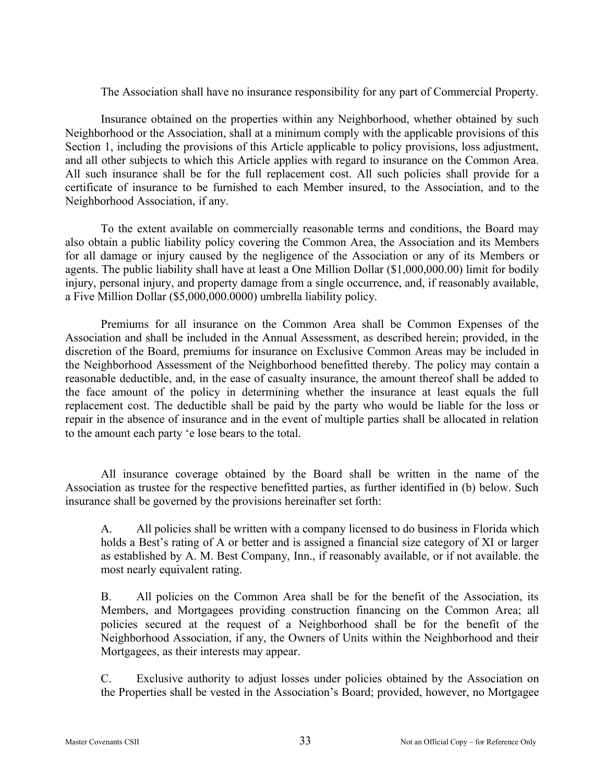The Association shall have no insurance responsibility for any part of Commercial Property.

Insurance obtained on the properties within any Neighborhood, whether obtained by such Neighborhood or the Association, shall at a minimum comply with the applicable provisions of this Section 1, including the provisions of this Article applicable to policy provisions, loss adjustment, and all other subjects to which this Article applies with regard to insurance on the Common Area. All such insurance shall be for the full replacement cost. All such policies shall provide for a certificate of insurance to be furnished to each Member insured, to the Association, and to the Neighborhood Association, if any.

To the extent available on commercially reasonable terms and conditions, the Board may also obtain a public liability policy covering the Common Area, the Association and its Members for all damage or injury caused by the negligence of the Association or any of its Members or agents. The public liability shall have at least a One Million Dollar (\$1,000,000.00) limit for bodily injury, personal injury, and property damage from a single occurrence, and, if reasonably available, a Five Million Dollar (\$5,000,000.0000) umbrella liability policy.

Premiums for all insurance on the Common Area shall be Common Expenses of the Association and shall be included in the Annual Assessment, as described herein; provided, in the discretion of the Board, premiums for insurance on Exclusive Common Areas may be included in the Neighborhood Assessment of the Neighborhood benefitted thereby. The policy may contain a reasonable deductible, and, in the ease of casualty insurance, the amount thereof shall be added to the face amount of the policy in determining whether the insurance at least equals the full replacement cost. The deductible shall be paid by the party who would be liable for the loss or repair in the absence of insurance and in the event of multiple parties shall be allocated in relation to the amount each party 'e lose bears to the total.

All insurance coverage obtained by the Board shall be written in the name of the Association as trustee for the respective benefitted parties, as further identified in (b) below. Such insurance shall be governed by the provisions hereinafter set forth:

A. All policies shall be written with a company licensed to do business in Florida which holds a Best's rating of A or better and is assigned a financial size category of XI or larger as established by A. M. Best Company, Inn., if reasonably available, or if not available. the most nearly equivalent rating.

B. All policies on the Common Area shall be for the benefit of the Association, its Members, and Mortgagees providing construction financing on the Common Area; all policies secured at the request of a Neighborhood shall be for the benefit of the Neighborhood Association, if any, the Owners of Units within the Neighborhood and their Mortgagees, as their interests may appear.

C. Exclusive authority to adjust losses under policies obtained by the Association on the Properties shall be vested in the Association's Board; provided, however, no Mortgagee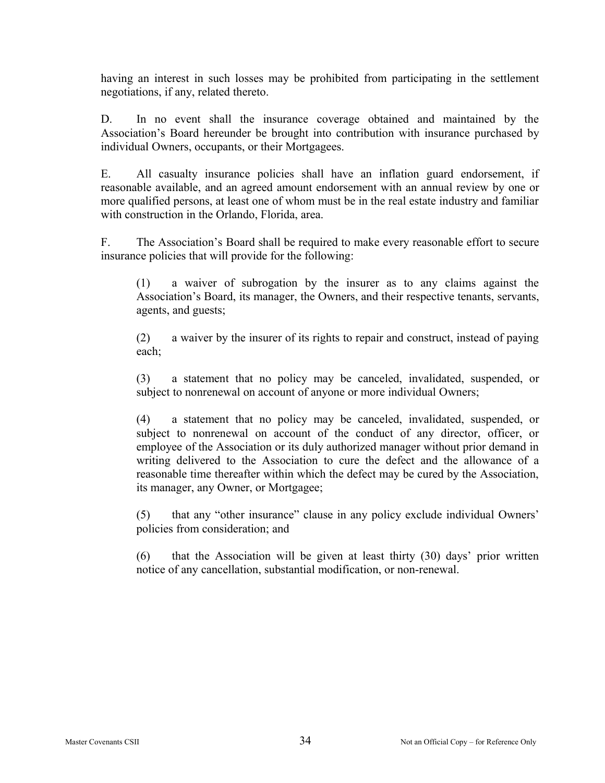having an interest in such losses may be prohibited from participating in the settlement negotiations, if any, related thereto.

D. In no event shall the insurance coverage obtained and maintained by the Association's Board hereunder be brought into contribution with insurance purchased by individual Owners, occupants, or their Mortgagees.

E. All casualty insurance policies shall have an inflation guard endorsement, if reasonable available, and an agreed amount endorsement with an annual review by one or more qualified persons, at least one of whom must be in the real estate industry and familiar with construction in the Orlando, Florida, area.

F. The Association's Board shall be required to make every reasonable effort to secure insurance policies that will provide for the following:

(1) a waiver of subrogation by the insurer as to any claims against the Association's Board, its manager, the Owners, and their respective tenants, servants, agents, and guests;

(2) a waiver by the insurer of its rights to repair and construct, instead of paying each;

(3) a statement that no policy may be canceled, invalidated, suspended, or subject to nonrenewal on account of anyone or more individual Owners;

(4) a statement that no policy may be canceled, invalidated, suspended, or subject to nonrenewal on account of the conduct of any director, officer, or employee of the Association or its duly authorized manager without prior demand in writing delivered to the Association to cure the defect and the allowance of a reasonable time thereafter within which the defect may be cured by the Association, its manager, any Owner, or Mortgagee;

(5) that any "other insurance" clause in any policy exclude individual Owners' policies from consideration; and

(6) that the Association will be given at least thirty (30) days' prior written notice of any cancellation, substantial modification, or non-renewal.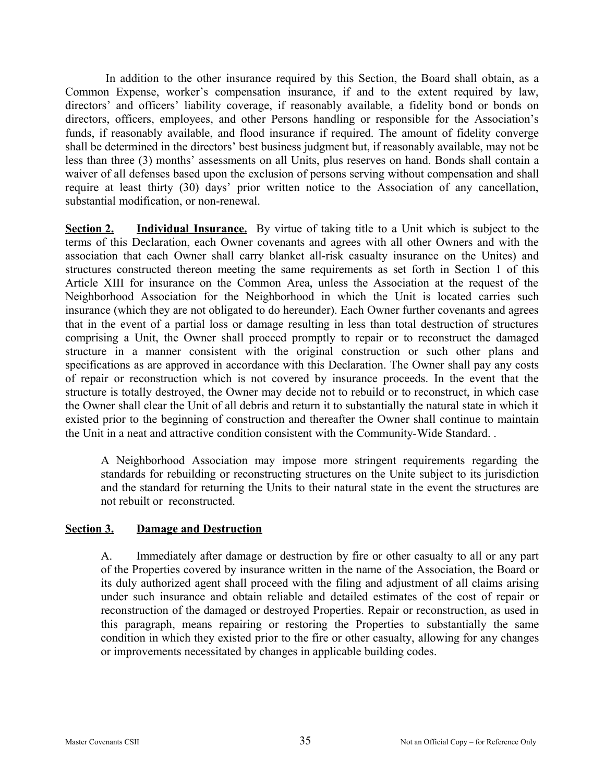In addition to the other insurance required by this Section, the Board shall obtain, as a Common Expense, worker's compensation insurance, if and to the extent required by law, directors' and officers' liability coverage, if reasonably available, a fidelity bond or bonds on directors, officers, employees, and other Persons handling or responsible for the Association's funds, if reasonably available, and flood insurance if required. The amount of fidelity converge shall be determined in the directors' best business judgment but, if reasonably available, may not be less than three (3) months' assessments on all Units, plus reserves on hand. Bonds shall contain a waiver of all defenses based upon the exclusion of persons serving without compensation and shall require at least thirty (30) days' prior written notice to the Association of any cancellation, substantial modification, or non-renewal.

**Section 2. Individual Insurance.** By virtue of taking title to a Unit which is subject to the terms of this Declaration, each Owner covenants and agrees with all other Owners and with the association that each Owner shall carry blanket all-risk casualty insurance on the Unites) and structures constructed thereon meeting the same requirements as set forth in Section 1 of this Article XIII for insurance on the Common Area, unless the Association at the request of the Neighborhood Association for the Neighborhood in which the Unit is located carries such insurance (which they are not obligated to do hereunder). Each Owner further covenants and agrees that in the event of a partial loss or damage resulting in less than total destruction of structures comprising a Unit, the Owner shall proceed promptly to repair or to reconstruct the damaged structure in a manner consistent with the original construction or such other plans and specifications as are approved in accordance with this Declaration. The Owner shall pay any costs of repair or reconstruction which is not covered by insurance proceeds. In the event that the structure is totally destroyed, the Owner may decide not to rebuild or to reconstruct, in which case the Owner shall clear the Unit of all debris and return it to substantially the natural state in which it existed prior to the beginning of construction and thereafter the Owner shall continue to maintain the Unit in a neat and attractive condition consistent with the Community-Wide Standard. .

A Neighborhood Association may impose more stringent requirements regarding the standards for rebuilding or reconstructing structures on the Unite subject to its jurisdiction and the standard for returning the Units to their natural state in the event the structures are not rebuilt or reconstructed.

### **Section 3. Damage and Destruction**

A. Immediately after damage or destruction by fire or other casualty to all or any part of the Properties covered by insurance written in the name of the Association, the Board or its duly authorized agent shall proceed with the filing and adjustment of all claims arising under such insurance and obtain reliable and detailed estimates of the cost of repair or reconstruction of the damaged or destroyed Properties. Repair or reconstruction, as used in this paragraph, means repairing or restoring the Properties to substantially the same condition in which they existed prior to the fire or other casualty, allowing for any changes or improvements necessitated by changes in applicable building codes.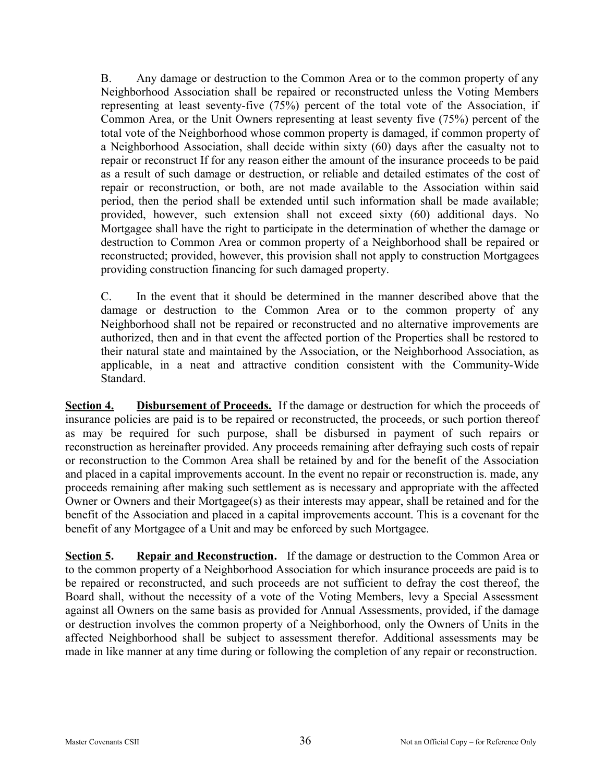B. Any damage or destruction to the Common Area or to the common property of any Neighborhood Association shall be repaired or reconstructed unless the Voting Members representing at least seventy-five (75%) percent of the total vote of the Association, if Common Area, or the Unit Owners representing at least seventy five (75%) percent of the total vote of the Neighborhood whose common property is damaged, if common property of a Neighborhood Association, shall decide within sixty (60) days after the casualty not to repair or reconstruct If for any reason either the amount of the insurance proceeds to be paid as a result of such damage or destruction, or reliable and detailed estimates of the cost of repair or reconstruction, or both, are not made available to the Association within said period, then the period shall be extended until such information shall be made available; provided, however, such extension shall not exceed sixty (60) additional days. No Mortgagee shall have the right to participate in the determination of whether the damage or destruction to Common Area or common property of a Neighborhood shall be repaired or reconstructed; provided, however, this provision shall not apply to construction Mortgagees providing construction financing for such damaged property.

C. In the event that it should be determined in the manner described above that the damage or destruction to the Common Area or to the common property of any Neighborhood shall not be repaired or reconstructed and no alternative improvements are authorized, then and in that event the affected portion of the Properties shall be restored to their natural state and maintained by the Association, or the Neighborhood Association, as applicable, in a neat and attractive condition consistent with the Community-Wide Standard.

**Section 4. Disbursement of Proceeds.** If the damage or destruction for which the proceeds of insurance policies are paid is to be repaired or reconstructed, the proceeds, or such portion thereof as may be required for such purpose, shall be disbursed in payment of such repairs or reconstruction as hereinafter provided. Any proceeds remaining after defraying such costs of repair or reconstruction to the Common Area shall be retained by and for the benefit of the Association and placed in a capital improvements account. In the event no repair or reconstruction is. made, any proceeds remaining after making such settlement as is necessary and appropriate with the affected Owner or Owners and their Mortgagee(s) as their interests may appear, shall be retained and for the benefit of the Association and placed in a capital improvements account. This is a covenant for the benefit of any Mortgagee of a Unit and may be enforced by such Mortgagee.

**Section 5. Repair and Reconstruction.** If the damage or destruction to the Common Area or to the common property of a Neighborhood Association for which insurance proceeds are paid is to be repaired or reconstructed, and such proceeds are not sufficient to defray the cost thereof, the Board shall, without the necessity of a vote of the Voting Members, levy a Special Assessment against all Owners on the same basis as provided for Annual Assessments, provided, if the damage or destruction involves the common property of a Neighborhood, only the Owners of Units in the affected Neighborhood shall be subject to assessment therefor. Additional assessments may be made in like manner at any time during or following the completion of any repair or reconstruction.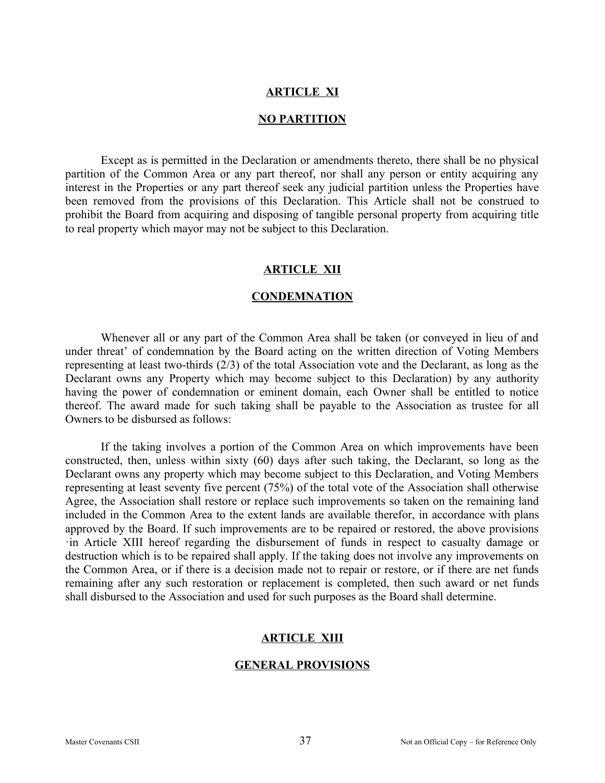#### **ARTICLE XI**

#### **NO PARTITION**

Except as is permitted in the Declaration or amendments thereto, there shall be no physical partition of the Common Area or any part thereof, nor shall any person or entity acquiring any interest in the Properties or any part thereof seek any judicial partition unless the Properties have been removed from the provisions of this Declaration. This Article shall not be construed to prohibit the Board from acquiring and disposing of tangible personal property from acquiring title to real property which mayor may not be subject to this Declaration.

#### **ARTICLE XII**

#### **CONDEMNATION**

Whenever all or any part of the Common Area shall be taken (or conveyed in lieu of and under threat' of condemnation by the Board acting on the written direction of Voting Members representing at least two-thirds (2/3) of the total Association vote and the Declarant, as long as the Declarant owns any Property which may become subject to this Declaration) by any authority having the power of condemnation or eminent domain, each Owner shall be entitled to notice thereof. The award made for such taking shall be payable to the Association as trustee for all Owners to be disbursed as follows:

If the taking involves a portion of the Common Area on which improvements have been constructed, then, unless within sixty (60) days after such taking, the Declarant, so long as the Declarant owns any property which may become subject to this Declaration, and Voting Members representing at least seventy five percent (75%) of the total vote of the Association shall otherwise Agree, the Association shall restore or replace such improvements so taken on the remaining land included in the Common Area to the extent lands are available therefor, in accordance with plans approved by the Board. If such improvements are to be repaired or restored, the above provisions ·in Article XIII hereof regarding the disbursement of funds in respect to casualty damage or destruction which is to be repaired shall apply. If the taking does not involve any improvements on the Common Area, or if there is a decision made not to repair or restore, or if there are net funds remaining after any such restoration or replacement is completed, then such award or net funds shall disbursed to the Association and used for such purposes as the Board shall determine.

#### **ARTICLE XIII**

#### **GENERAL PROVISIONS**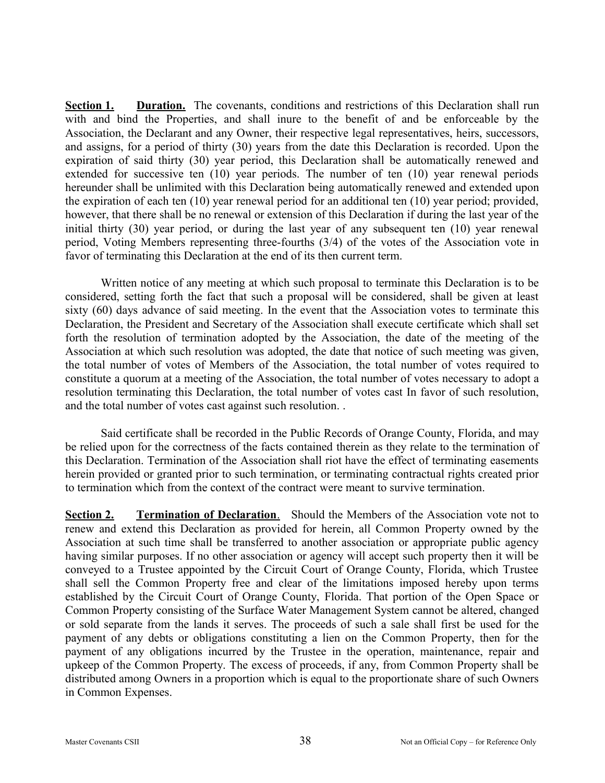**Section 1. Duration.** The covenants, conditions and restrictions of this Declaration shall run with and bind the Properties, and shall inure to the benefit of and be enforceable by the Association, the Declarant and any Owner, their respective legal representatives, heirs, successors, and assigns, for a period of thirty (30) years from the date this Declaration is recorded. Upon the expiration of said thirty (30) year period, this Declaration shall be automatically renewed and extended for successive ten (10) year periods. The number of ten (10) year renewal periods hereunder shall be unlimited with this Declaration being automatically renewed and extended upon the expiration of each ten (10) year renewal period for an additional ten (10) year period; provided, however, that there shall be no renewal or extension of this Declaration if during the last year of the initial thirty (30) year period, or during the last year of any subsequent ten (10) year renewal period, Voting Members representing three-fourths (3/4) of the votes of the Association vote in favor of terminating this Declaration at the end of its then current term.

Written notice of any meeting at which such proposal to terminate this Declaration is to be considered, setting forth the fact that such a proposal will be considered, shall be given at least sixty (60) days advance of said meeting. In the event that the Association votes to terminate this Declaration, the President and Secretary of the Association shall execute certificate which shall set forth the resolution of termination adopted by the Association, the date of the meeting of the Association at which such resolution was adopted, the date that notice of such meeting was given, the total number of votes of Members of the Association, the total number of votes required to constitute a quorum at a meeting of the Association, the total number of votes necessary to adopt a resolution terminating this Declaration, the total number of votes cast In favor of such resolution, and the total number of votes cast against such resolution. .

Said certificate shall be recorded in the Public Records of Orange County, Florida, and may be relied upon for the correctness of the facts contained therein as they relate to the termination of this Declaration. Termination of the Association shall riot have the effect of terminating easements herein provided or granted prior to such termination, or terminating contractual rights created prior to termination which from the context of the contract were meant to survive termination.

**Section 2.** Termination of Declaration. Should the Members of the Association vote not to renew and extend this Declaration as provided for herein, all Common Property owned by the Association at such time shall be transferred to another association or appropriate public agency having similar purposes. If no other association or agency will accept such property then it will be conveyed to a Trustee appointed by the Circuit Court of Orange County, Florida, which Trustee shall sell the Common Property free and clear of the limitations imposed hereby upon terms established by the Circuit Court of Orange County, Florida. That portion of the Open Space or Common Property consisting of the Surface Water Management System cannot be altered, changed or sold separate from the lands it serves. The proceeds of such a sale shall first be used for the payment of any debts or obligations constituting a lien on the Common Property, then for the payment of any obligations incurred by the Trustee in the operation, maintenance, repair and upkeep of the Common Property. The excess of proceeds, if any, from Common Property shall be distributed among Owners in a proportion which is equal to the proportionate share of such Owners in Common Expenses.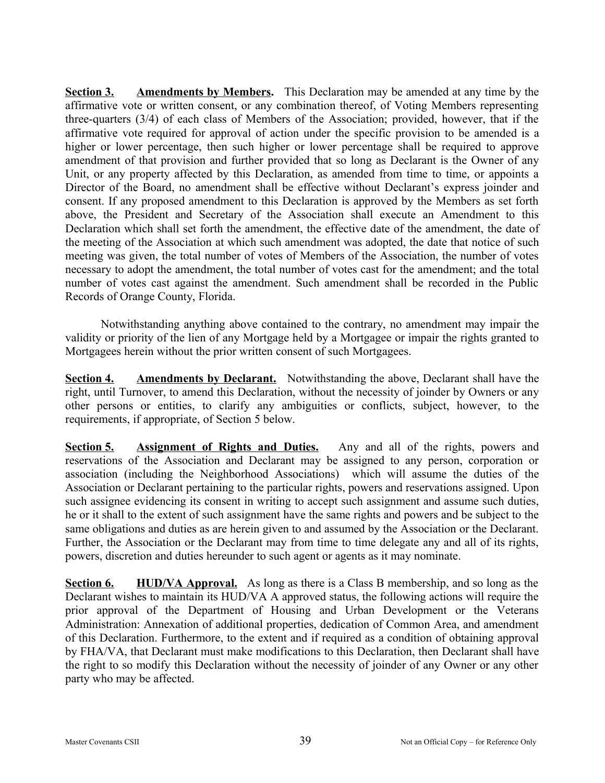**Section 3. Amendments by Members.** This Declaration may be amended at any time by the affirmative vote or written consent, or any combination thereof, of Voting Members representing three-quarters (3/4) of each class of Members of the Association; provided, however, that if the affirmative vote required for approval of action under the specific provision to be amended is a higher or lower percentage, then such higher or lower percentage shall be required to approve amendment of that provision and further provided that so long as Declarant is the Owner of any Unit, or any property affected by this Declaration, as amended from time to time, or appoints a Director of the Board, no amendment shall be effective without Declarant's express joinder and consent. If any proposed amendment to this Declaration is approved by the Members as set forth above, the President and Secretary of the Association shall execute an Amendment to this Declaration which shall set forth the amendment, the effective date of the amendment, the date of the meeting of the Association at which such amendment was adopted, the date that notice of such meeting was given, the total number of votes of Members of the Association, the number of votes necessary to adopt the amendment, the total number of votes cast for the amendment; and the total number of votes cast against the amendment. Such amendment shall be recorded in the Public Records of Orange County, Florida.

Notwithstanding anything above contained to the contrary, no amendment may impair the validity or priority of the lien of any Mortgage held by a Mortgagee or impair the rights granted to Mortgagees herein without the prior written consent of such Mortgagees.

**Section 4. Amendments by Declarant.** Notwithstanding the above, Declarant shall have the right, until Turnover, to amend this Declaration, without the necessity of joinder by Owners or any other persons or entities, to clarify any ambiguities or conflicts, subject, however, to the requirements, if appropriate, of Section 5 below.

**Section 5. Assignment of Rights and Duties.** Any and all of the rights, powers and reservations of the Association and Declarant may be assigned to any person, corporation or association (including the Neighborhood Associations) which will assume the duties of the Association or Declarant pertaining to the particular rights, powers and reservations assigned. Upon such assignee evidencing its consent in writing to accept such assignment and assume such duties, he or it shall to the extent of such assignment have the same rights and powers and be subject to the same obligations and duties as are herein given to and assumed by the Association or the Declarant. Further, the Association or the Declarant may from time to time delegate any and all of its rights, powers, discretion and duties hereunder to such agent or agents as it may nominate.

**Section 6. HUD/VA Approval.** As long as there is a Class B membership, and so long as the Declarant wishes to maintain its HUD/VA A approved status, the following actions will require the prior approval of the Department of Housing and Urban Development or the Veterans Administration: Annexation of additional properties, dedication of Common Area, and amendment of this Declaration. Furthermore, to the extent and if required as a condition of obtaining approval by FHA/VA, that Declarant must make modifications to this Declaration, then Declarant shall have the right to so modify this Declaration without the necessity of joinder of any Owner or any other party who may be affected.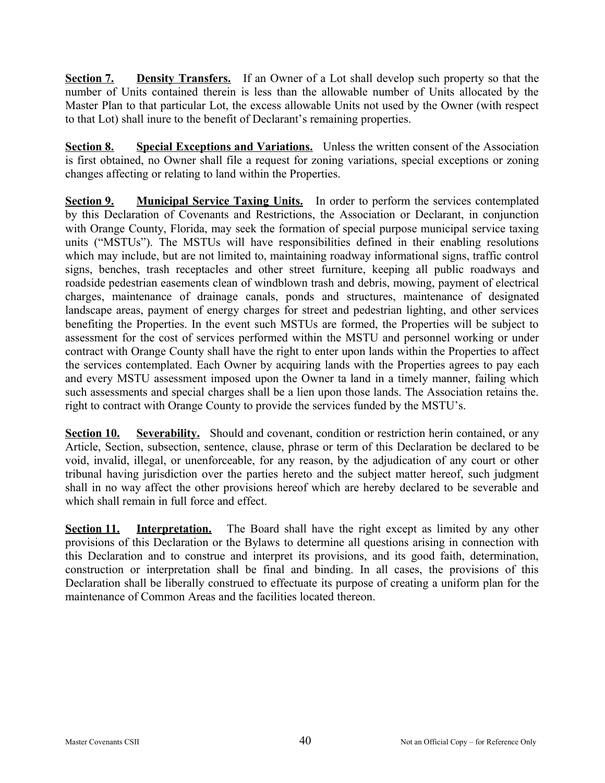**Section 7. Density Transfers.** If an Owner of a Lot shall develop such property so that the number of Units contained therein is less than the allowable number of Units allocated by the Master Plan to that particular Lot, the excess allowable Units not used by the Owner (with respect to that Lot) shall inure to the benefit of Declarant's remaining properties.

**Section 8. Special Exceptions and Variations.** Unless the written consent of the Association is first obtained, no Owner shall file a request for zoning variations, special exceptions or zoning changes affecting or relating to land within the Properties.

**<u>Section 9.</u> Municipal Service Taxing Units.** In order to perform the services contemplated by this Declaration of Covenants and Restrictions, the Association or Declarant, in conjunction with Orange County, Florida, may seek the formation of special purpose municipal service taxing units ("MSTUs"). The MSTUs will have responsibilities defined in their enabling resolutions which may include, but are not limited to, maintaining roadway informational signs, traffic control signs, benches, trash receptacles and other street furniture, keeping all public roadways and roadside pedestrian easements clean of windblown trash and debris, mowing, payment of electrical charges, maintenance of drainage canals, ponds and structures, maintenance of designated landscape areas, payment of energy charges for street and pedestrian lighting, and other services benefiting the Properties. In the event such MSTUs are formed, the Properties will be subject to assessment for the cost of services performed within the MSTU and personnel working or under contract with Orange County shall have the right to enter upon lands within the Properties to affect the services contemplated. Each Owner by acquiring lands with the Properties agrees to pay each and every MSTU assessment imposed upon the Owner ta land in a timely manner, failing which such assessments and special charges shall be a lien upon those lands. The Association retains the. right to contract with Orange County to provide the services funded by the MSTU's.

**Section 10. Severability.** Should and covenant, condition or restriction herin contained, or any Article, Section, subsection, sentence, clause, phrase or term of this Declaration be declared to be void, invalid, illegal, or unenforceable, for any reason, by the adjudication of any court or other tribunal having jurisdiction over the parties hereto and the subject matter hereof, such judgment shall in no way affect the other provisions hereof which are hereby declared to be severable and which shall remain in full force and effect.

**Section 11. Interpretation.** The Board shall have the right except as limited by any other provisions of this Declaration or the Bylaws to determine all questions arising in connection with this Declaration and to construe and interpret its provisions, and its good faith, determination, construction or interpretation shall be final and binding. In all cases, the provisions of this Declaration shall be liberally construed to effectuate its purpose of creating a uniform plan for the maintenance of Common Areas and the facilities located thereon.